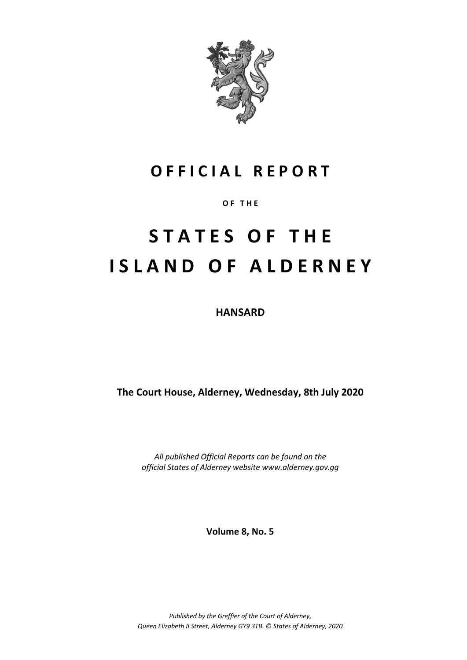

## **O F F I C I A L R E P O R T**

**O F T H E**

# **S T A T E S O F T H E I S L A N D O F A L D E R N E Y**

**HANSARD**

**The Court House, Alderney, Wednesday, 8th July 2020**

*All published Official Reports can be found on the official States of Alderney website www.alderney.gov.gg*

**Volume 8, No. 5**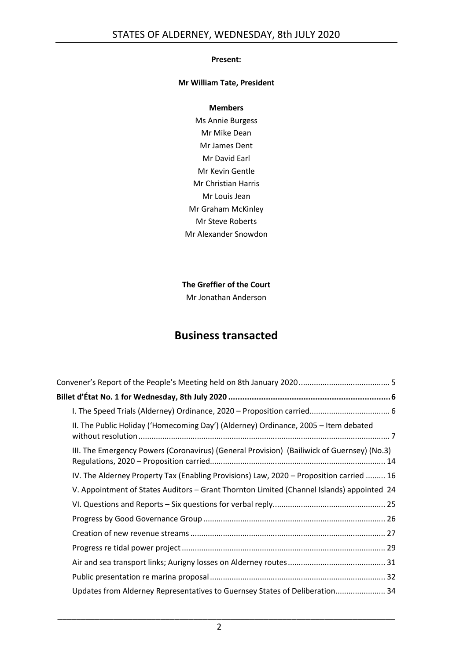### **Present:**

### **Mr William Tate, President**

### **Members**

Ms Annie Burgess Mr Mike Dean Mr James Dent Mr David Earl Mr Kevin Gentle Mr Christian Harris Mr Louis Jean Mr Graham McKinley Mr Steve Roberts Mr Alexander Snowdon

### **The Greffier of the Court**

Mr Jonathan Anderson

## **Business transacted**

| II. The Public Holiday ('Homecoming Day') (Alderney) Ordinance, 2005 - Item debated        |
|--------------------------------------------------------------------------------------------|
| III. The Emergency Powers (Coronavirus) (General Provision) (Bailiwick of Guernsey) (No.3) |
| IV. The Alderney Property Tax (Enabling Provisions) Law, 2020 - Proposition carried  16    |
| V. Appointment of States Auditors - Grant Thornton Limited (Channel Islands) appointed 24  |
|                                                                                            |
|                                                                                            |
|                                                                                            |
|                                                                                            |
|                                                                                            |
|                                                                                            |
| Updates from Alderney Representatives to Guernsey States of Deliberation 34                |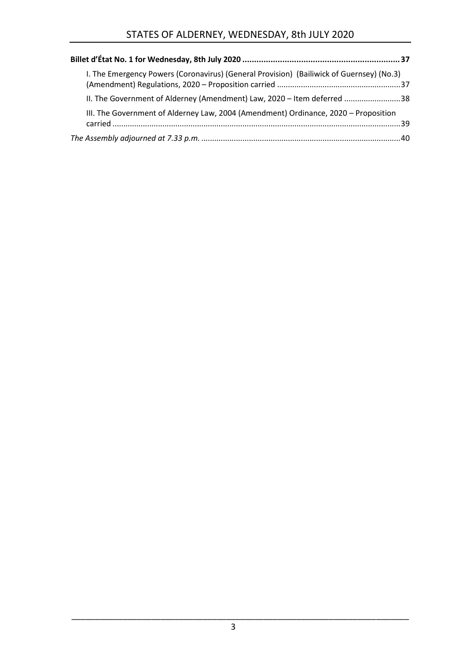## STATES OF ALDERNEY, WEDNESDAY, 8th JULY 2020

| I. The Emergency Powers (Coronavirus) (General Provision) (Bailiwick of Guernsey) (No.3) |  |
|------------------------------------------------------------------------------------------|--|
| II. The Government of Alderney (Amendment) Law, 2020 - Item deferred 38                  |  |
| III. The Government of Alderney Law, 2004 (Amendment) Ordinance, 2020 – Proposition      |  |
|                                                                                          |  |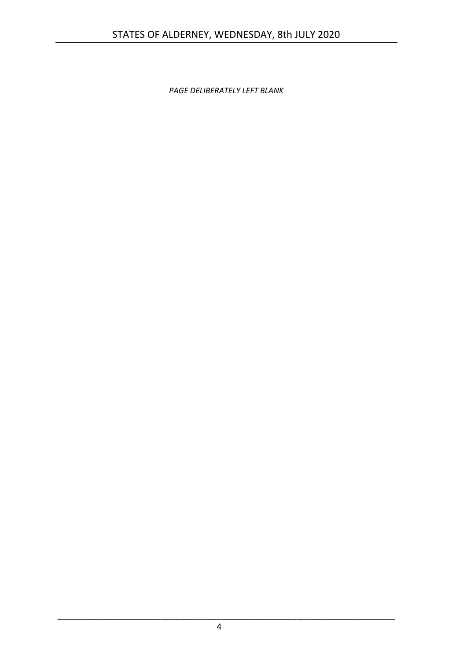*PAGE DELIBERATELY LEFT BLANK*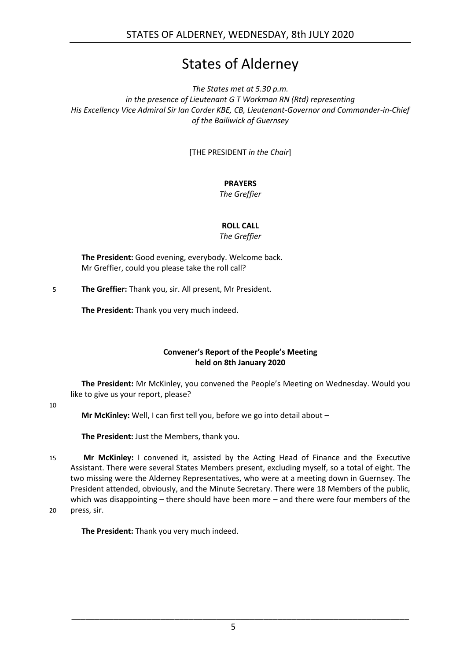## States of Alderney

*The States met at 5.30 p.m. in the presence of Lieutenant G T Workman RN (Rtd) representing His Excellency Vice Admiral Sir Ian Corder KBE, CB, Lieutenant-Governor and Commander-in-Chief of the Bailiwick of Guernsey*

[THE PRESIDENT *in the Chair*]

### **PRAYERS**

*The Greffier*

### **ROLL CALL**

*The Greffier*

**The President:** Good evening, everybody. Welcome back. Mr Greffier, could you please take the roll call?

5 **The Greffier:** Thank you, sir. All present, Mr President.

**The President:** Thank you very much indeed.

### **Convener's Report of the People's Meeting held on 8th January 2020**

<span id="page-4-0"></span>**The President:** Mr McKinley, you convened the People's Meeting on Wednesday. Would you like to give us your report, please?

10

**Mr McKinley:** Well, I can first tell you, before we go into detail about –

**The President:** Just the Members, thank you.

15 **Mr McKinley:** I convened it, assisted by the Acting Head of Finance and the Executive Assistant. There were several States Members present, excluding myself, so a total of eight. The two missing were the Alderney Representatives, who were at a meeting down in Guernsey. The President attended, obviously, and the Minute Secretary. There were 18 Members of the public, which was disappointing – there should have been more – and there were four members of the

20 press, sir.

**The President:** Thank you very much indeed.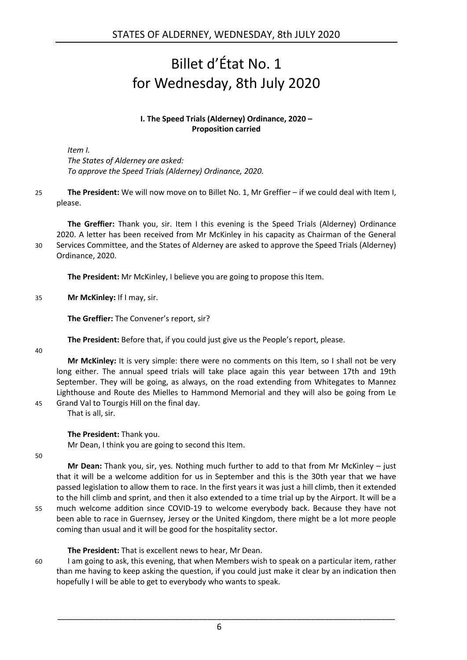## <span id="page-5-0"></span>Billet d'État No. 1 for Wednesday, 8th July 2020

### **I. The Speed Trials (Alderney) Ordinance, 2020 – Proposition carried**

<span id="page-5-1"></span>*Item I. The States of Alderney are asked: To approve the Speed Trials (Alderney) Ordinance, 2020.*

25 **The President:** We will now move on to Billet No. 1, Mr Greffier – if we could deal with Item I, please.

**The Greffier:** Thank you, sir. Item I this evening is the Speed Trials (Alderney) Ordinance 2020. A letter has been received from Mr McKinley in his capacity as Chairman of the General 30 Services Committee, and the States of Alderney are asked to approve the Speed Trials (Alderney)

Ordinance, 2020.

**The President:** Mr McKinley, I believe you are going to propose this Item.

35 **Mr McKinley:** If I may, sir.

**The Greffier:** The Convener's report, sir?

**The President:** Before that, if you could just give us the People's report, please.

### 40

**Mr McKinley:** It is very simple: there were no comments on this Item, so I shall not be very long either. The annual speed trials will take place again this year between 17th and 19th September. They will be going, as always, on the road extending from Whitegates to Mannez Lighthouse and Route des Mielles to Hammond Memorial and they will also be going from Le 45 Grand Val to Tourgis Hill on the final day.

That is all, sir.

**The President:** Thank you. Mr Dean, I think you are going to second this Item.

50

**Mr Dean:** Thank you, sir, yes. Nothing much further to add to that from Mr McKinley – just that it will be a welcome addition for us in September and this is the 30th year that we have passed legislation to allow them to race. In the first years it was just a hill climb, then it extended to the hill climb and sprint, and then it also extended to a time trial up by the Airport. It will be a 55 much welcome addition since COVID-19 to welcome everybody back. Because they have not been able to race in Guernsey, Jersey or the United Kingdom, there might be a lot more people coming than usual and it will be good for the hospitality sector.

**The President:** That is excellent news to hear, Mr Dean.

60 I am going to ask, this evening, that when Members wish to speak on a particular item, rather than me having to keep asking the question, if you could just make it clear by an indication then hopefully I will be able to get to everybody who wants to speak.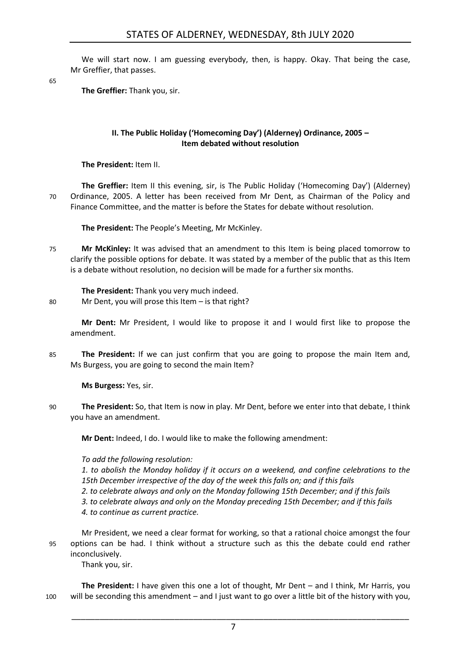We will start now. I am guessing everybody, then, is happy. Okay. That being the case, Mr Greffier, that passes.

65

**The Greffier:** Thank you, sir.

### **II. The Public Holiday ('Homecoming Day') (Alderney) Ordinance, 2005 – Item debated without resolution**

<span id="page-6-0"></span>**The President:** Item II.

**The Greffier:** Item II this evening, sir, is The Public Holiday ('Homecoming Day') (Alderney) 70 Ordinance, 2005. A letter has been received from Mr Dent, as Chairman of the Policy and Finance Committee, and the matter is before the States for debate without resolution.

**The President:** The People's Meeting, Mr McKinley.

75 **Mr McKinley:** It was advised that an amendment to this Item is being placed tomorrow to clarify the possible options for debate. It was stated by a member of the public that as this Item is a debate without resolution, no decision will be made for a further six months.

**The President:** Thank you very much indeed.

80 Mr Dent, you will prose this Item – is that right?

**Mr Dent:** Mr President, I would like to propose it and I would first like to propose the amendment.

85 **The President:** If we can just confirm that you are going to propose the main Item and, Ms Burgess, you are going to second the main Item?

**Ms Burgess:** Yes, sir.

90 **The President:** So, that Item is now in play. Mr Dent, before we enter into that debate, I think you have an amendment.

**Mr Dent:** Indeed, I do. I would like to make the following amendment:

*To add the following resolution:*

*1. to abolish the Monday holiday if it occurs on a weekend, and confine celebrations to the 15th December irrespective of the day of the week this falls on; and if this fails*

- *2. to celebrate always and only on the Monday following 15th December; and if this fails*
- *3. to celebrate always and only on the Monday preceding 15th December; and if this fails*
- *4. to continue as current practice.*

Mr President, we need a clear format for working, so that a rational choice amongst the four 95 options can be had. I think without a structure such as this the debate could end rather inconclusively.

Thank you, sir.

**The President:** I have given this one a lot of thought, Mr Dent – and I think, Mr Harris, you 100 will be seconding this amendment – and I just want to go over a little bit of the history with you,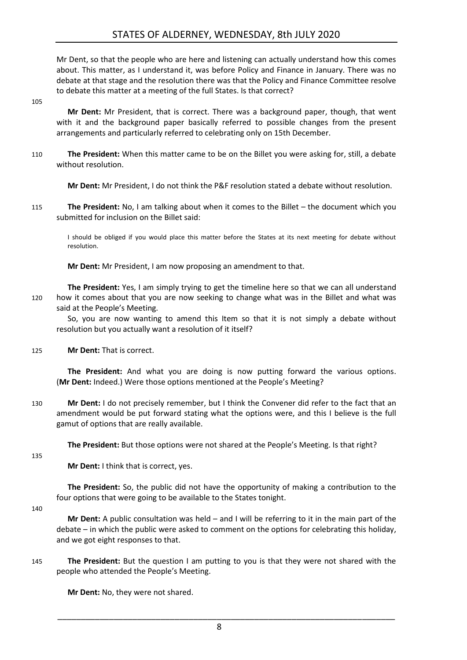Mr Dent, so that the people who are here and listening can actually understand how this comes about. This matter, as I understand it, was before Policy and Finance in January. There was no debate at that stage and the resolution there was that the Policy and Finance Committee resolve to debate this matter at a meeting of the full States. Is that correct?

105

**Mr Dent:** Mr President, that is correct. There was a background paper, though, that went with it and the background paper basically referred to possible changes from the present arrangements and particularly referred to celebrating only on 15th December.

110 **The President:** When this matter came to be on the Billet you were asking for, still, a debate without resolution.

**Mr Dent:** Mr President, I do not think the P&F resolution stated a debate without resolution.

115 **The President:** No, I am talking about when it comes to the Billet – the document which you submitted for inclusion on the Billet said:

I should be obliged if you would place this matter before the States at its next meeting for debate without resolution.

**Mr Dent:** Mr President, I am now proposing an amendment to that.

**The President:** Yes, I am simply trying to get the timeline here so that we can all understand 120 how it comes about that you are now seeking to change what was in the Billet and what was said at the People's Meeting.

So, you are now wanting to amend this Item so that it is not simply a debate without resolution but you actually want a resolution of it itself?

125 **Mr Dent:** That is correct.

**The President:** And what you are doing is now putting forward the various options. (**Mr Dent:** Indeed.) Were those options mentioned at the People's Meeting?

130 **Mr Dent:** I do not precisely remember, but I think the Convener did refer to the fact that an amendment would be put forward stating what the options were, and this I believe is the full gamut of options that are really available.

**The President:** But those options were not shared at the People's Meeting. Is that right?

135

**Mr Dent:** I think that is correct, yes.

**The President:** So, the public did not have the opportunity of making a contribution to the four options that were going to be available to the States tonight.

140

**Mr Dent:** A public consultation was held – and I will be referring to it in the main part of the debate – in which the public were asked to comment on the options for celebrating this holiday, and we got eight responses to that.

145 **The President:** But the question I am putting to you is that they were not shared with the people who attended the People's Meeting.

**Mr Dent:** No, they were not shared.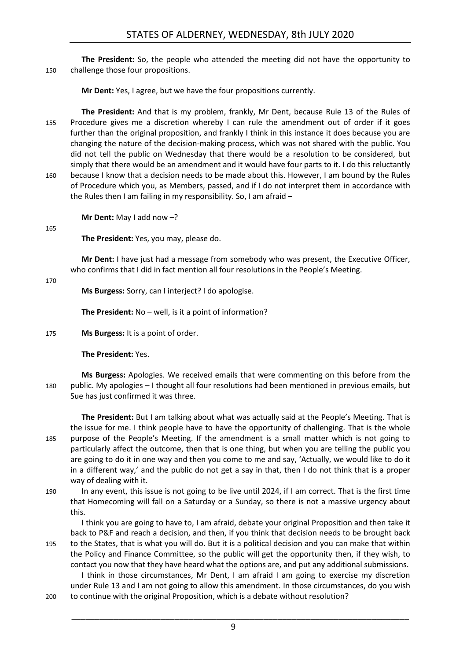### STATES OF ALDERNEY, WEDNESDAY, 8th JULY 2020

**The President:** So, the people who attended the meeting did not have the opportunity to 150 challenge those four propositions.

**Mr Dent:** Yes, I agree, but we have the four propositions currently.

**The President:** And that is my problem, frankly, Mr Dent, because Rule 13 of the Rules of 155 Procedure gives me a discretion whereby I can rule the amendment out of order if it goes further than the original proposition, and frankly I think in this instance it does because you are changing the nature of the decision-making process, which was not shared with the public. You did not tell the public on Wednesday that there would be a resolution to be considered, but simply that there would be an amendment and it would have four parts to it. I do this reluctantly 160 because I know that a decision needs to be made about this. However, I am bound by the Rules of Procedure which you, as Members, passed, and if I do not interpret them in accordance with the Rules then I am failing in my responsibility. So, I am afraid –

**Mr Dent:** May I add now –?

**The President:** Yes, you may, please do.

**Mr Dent:** I have just had a message from somebody who was present, the Executive Officer, who confirms that I did in fact mention all four resolutions in the People's Meeting.

170

165

**Ms Burgess:** Sorry, can I interject? I do apologise.

**The President:** No – well, is it a point of information?

175 **Ms Burgess:** It is a point of order.

**The President:** Yes.

**Ms Burgess:** Apologies. We received emails that were commenting on this before from the 180 public. My apologies – I thought all four resolutions had been mentioned in previous emails, but Sue has just confirmed it was three.

**The President:** But I am talking about what was actually said at the People's Meeting. That is the issue for me. I think people have to have the opportunity of challenging. That is the whole 185 purpose of the People's Meeting. If the amendment is a small matter which is not going to particularly affect the outcome, then that is one thing, but when you are telling the public you are going to do it in one way and then you come to me and say, 'Actually, we would like to do it in a different way,' and the public do not get a say in that, then I do not think that is a proper way of dealing with it.

190 In any event, this issue is not going to be live until 2024, if I am correct. That is the first time that Homecoming will fall on a Saturday or a Sunday, so there is not a massive urgency about this.

I think you are going to have to, I am afraid, debate your original Proposition and then take it back to P&F and reach a decision, and then, if you think that decision needs to be brought back 195 to the States, that is what you will do. But it is a political decision and you can make that within the Policy and Finance Committee, so the public will get the opportunity then, if they wish, to

contact you now that they have heard what the options are, and put any additional submissions. I think in those circumstances, Mr Dent, I am afraid I am going to exercise my discretion under Rule 13 and I am not going to allow this amendment. In those circumstances, do you wish 200 to continue with the original Proposition, which is a debate without resolution?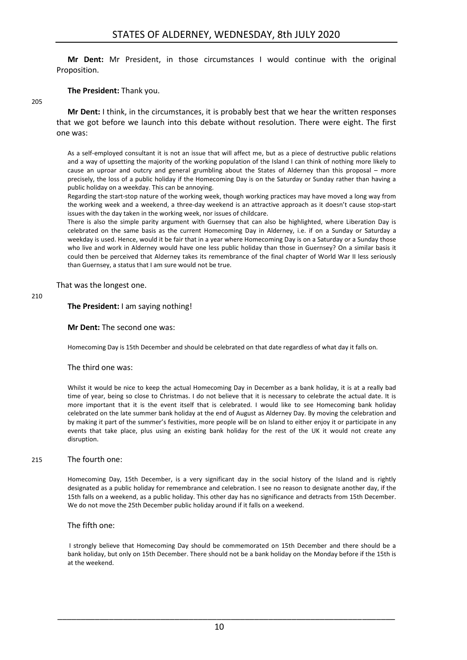**Mr Dent:** Mr President, in those circumstances I would continue with the original Proposition.

### **The President:** Thank you.

### 205

**Mr Dent:** I think, in the circumstances, it is probably best that we hear the written responses that we got before we launch into this debate without resolution. There were eight. The first one was:

As a self-employed consultant it is not an issue that will affect me, but as a piece of destructive public relations and a way of upsetting the majority of the working population of the Island I can think of nothing more likely to cause an uproar and outcry and general grumbling about the States of Alderney than this proposal – more precisely, the loss of a public holiday if the Homecoming Day is on the Saturday or Sunday rather than having a public holiday on a weekday. This can be annoying.

Regarding the start-stop nature of the working week, though working practices may have moved a long way from the working week and a weekend, a three-day weekend is an attractive approach as it doesn't cause stop-start issues with the day taken in the working week, nor issues of childcare.

There is also the simple parity argument with Guernsey that can also be highlighted, where Liberation Day is celebrated on the same basis as the current Homecoming Day in Alderney, i.e. if on a Sunday or Saturday a weekday is used. Hence, would it be fair that in a year where Homecoming Day is on a Saturday or a Sunday those who live and work in Alderney would have one less public holiday than those in Guernsey? On a similar basis it could then be perceived that Alderney takes its remembrance of the final chapter of World War II less seriously than Guernsey, a status that I am sure would not be true.

That was the longest one.

### 210

### **The President:** I am saying nothing!

**Mr Dent:** The second one was:

Homecoming Day is 15th December and should be celebrated on that date regardless of what day it falls on.

### The third one was:

Whilst it would be nice to keep the actual Homecoming Day in December as a bank holiday, it is at a really bad time of year, being so close to Christmas. I do not believe that it is necessary to celebrate the actual date. It is more important that it is the event itself that is celebrated. I would like to see Homecoming bank holiday celebrated on the late summer bank holiday at the end of August as Alderney Day. By moving the celebration and by making it part of the summer's festivities, more people will be on Island to either enjoy it or participate in any events that take place, plus using an existing bank holiday for the rest of the UK it would not create any disruption.

### 215 The fourth one:

Homecoming Day, 15th December, is a very significant day in the social history of the Island and is rightly designated as a public holiday for remembrance and celebration. I see no reason to designate another day, if the 15th falls on a weekend, as a public holiday. This other day has no significance and detracts from 15th December. We do not move the 25th December public holiday around if it falls on a weekend.

### The fifth one:

I strongly believe that Homecoming Day should be commemorated on 15th December and there should be a bank holiday, but only on 15th December. There should not be a bank holiday on the Monday before if the 15th is at the weekend.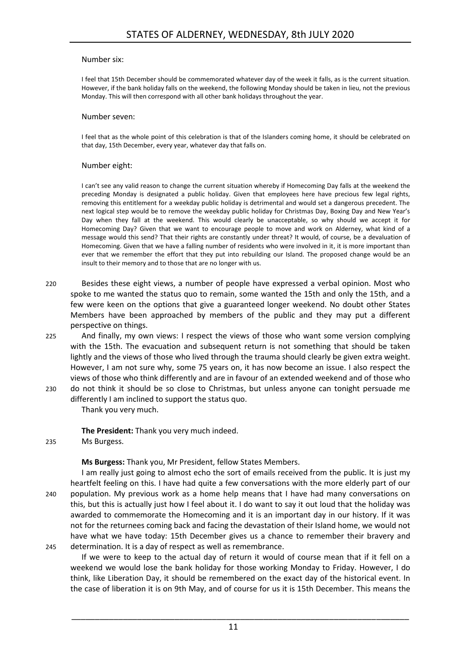### Number six:

I feel that 15th December should be commemorated whatever day of the week it falls, as is the current situation. However, if the bank holiday falls on the weekend, the following Monday should be taken in lieu, not the previous Monday. This will then correspond with all other bank holidays throughout the year.

### Number seven:

I feel that as the whole point of this celebration is that of the Islanders coming home, it should be celebrated on that day, 15th December, every year, whatever day that falls on.

### Number eight:

I can't see any valid reason to change the current situation whereby if Homecoming Day falls at the weekend the preceding Monday is designated a public holiday. Given that employees here have precious few legal rights, removing this entitlement for a weekday public holiday is detrimental and would set a dangerous precedent. The next logical step would be to remove the weekday public holiday for Christmas Day, Boxing Day and New Year's Day when they fall at the weekend. This would clearly be unacceptable, so why should we accept it for Homecoming Day? Given that we want to encourage people to move and work on Alderney, what kind of a message would this send? That their rights are constantly under threat? It would, of course, be a devaluation of Homecoming. Given that we have a falling number of residents who were involved in it, it is more important than ever that we remember the effort that they put into rebuilding our Island. The proposed change would be an insult to their memory and to those that are no longer with us.

- 220 Besides these eight views, a number of people have expressed a verbal opinion. Most who spoke to me wanted the status quo to remain, some wanted the 15th and only the 15th, and a few were keen on the options that give a guaranteed longer weekend. No doubt other States Members have been approached by members of the public and they may put a different perspective on things.
- 225 And finally, my own views: I respect the views of those who want some version complying with the 15th. The evacuation and subsequent return is not something that should be taken lightly and the views of those who lived through the trauma should clearly be given extra weight. However, I am not sure why, some 75 years on, it has now become an issue. I also respect the views of those who think differently and are in favour of an extended weekend and of those who
- 230 do not think it should be so close to Christmas, but unless anyone can tonight persuade me differently I am inclined to support the status quo.

Thank you very much.

**The President:** Thank you very much indeed.

235 Ms Burgess.

**Ms Burgess:** Thank you, Mr President, fellow States Members.

I am really just going to almost echo the sort of emails received from the public. It is just my heartfelt feeling on this. I have had quite a few conversations with the more elderly part of our 240 population. My previous work as a home help means that I have had many conversations on this, but this is actually just how I feel about it. I do want to say it out loud that the holiday was awarded to commemorate the Homecoming and it is an important day in our history. If it was not for the returnees coming back and facing the devastation of their Island home, we would not have what we have today: 15th December gives us a chance to remember their bravery and 245 determination. It is a day of respect as well as remembrance.

If we were to keep to the actual day of return it would of course mean that if it fell on a weekend we would lose the bank holiday for those working Monday to Friday. However, I do think, like Liberation Day, it should be remembered on the exact day of the historical event. In the case of liberation it is on 9th May, and of course for us it is 15th December. This means the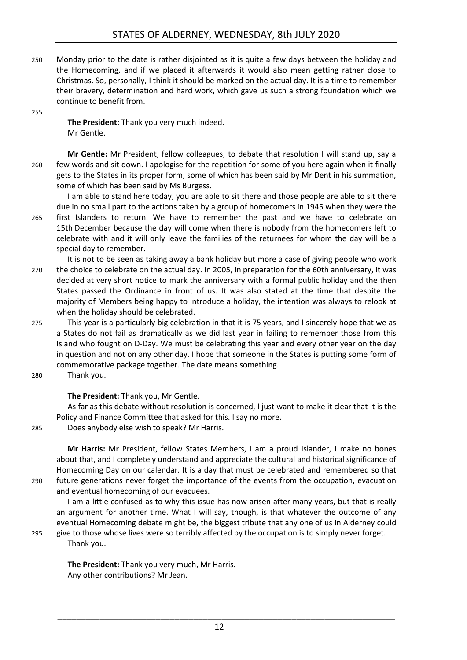- 250 Monday prior to the date is rather disjointed as it is quite a few days between the holiday and the Homecoming, and if we placed it afterwards it would also mean getting rather close to Christmas. So, personally, I think it should be marked on the actual day. It is a time to remember their bravery, determination and hard work, which gave us such a strong foundation which we continue to benefit from.
- 255

**The President:** Thank you very much indeed. Mr Gentle.

**Mr Gentle:** Mr President, fellow colleagues, to debate that resolution I will stand up, say a 260 few words and sit down. I apologise for the repetition for some of you here again when it finally gets to the States in its proper form, some of which has been said by Mr Dent in his summation, some of which has been said by Ms Burgess.

I am able to stand here today, you are able to sit there and those people are able to sit there due in no small part to the actions taken by a group of homecomers in 1945 when they were the 265 first Islanders to return. We have to remember the past and we have to celebrate on 15th December because the day will come when there is nobody from the homecomers left to celebrate with and it will only leave the families of the returnees for whom the day will be a special day to remember.

- It is not to be seen as taking away a bank holiday but more a case of giving people who work 270 the choice to celebrate on the actual day. In 2005, in preparation for the 60th anniversary, it was decided at very short notice to mark the anniversary with a formal public holiday and the then States passed the Ordinance in front of us. It was also stated at the time that despite the majority of Members being happy to introduce a holiday, the intention was always to relook at when the holiday should be celebrated.
- 275 This year is a particularly big celebration in that it is 75 years, and I sincerely hope that we as a States do not fail as dramatically as we did last year in failing to remember those from this Island who fought on D-Day. We must be celebrating this year and every other year on the day in question and not on any other day. I hope that someone in the States is putting some form of commemorative package together. The date means something.
- 280 Thank you.

### **The President:** Thank you, Mr Gentle.

As far as this debate without resolution is concerned, I just want to make it clear that it is the Policy and Finance Committee that asked for this. I say no more.

285 Does anybody else wish to speak? Mr Harris.

**Mr Harris:** Mr President, fellow States Members, I am a proud Islander, I make no bones about that, and I completely understand and appreciate the cultural and historical significance of Homecoming Day on our calendar. It is a day that must be celebrated and remembered so that 290 future generations never forget the importance of the events from the occupation, evacuation and eventual homecoming of our evacuees.

I am a little confused as to why this issue has now arisen after many years, but that is really an argument for another time. What I will say, though, is that whatever the outcome of any eventual Homecoming debate might be, the biggest tribute that any one of us in Alderney could

295 give to those whose lives were so terribly affected by the occupation is to simply never forget. Thank you.

> **The President:** Thank you very much, Mr Harris. Any other contributions? Mr Jean.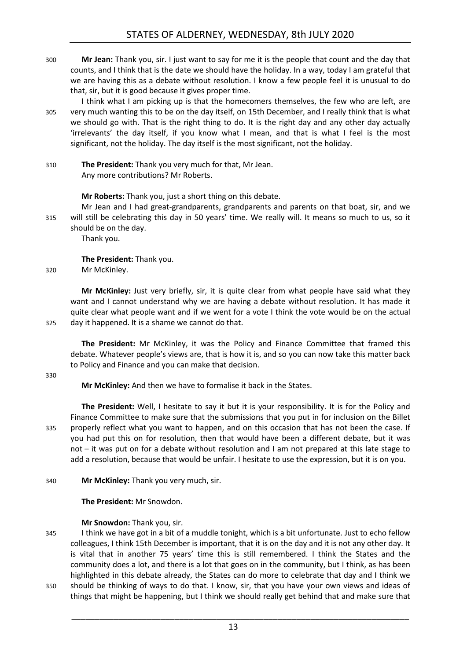- 300 **Mr Jean:** Thank you, sir. I just want to say for me it is the people that count and the day that counts, and I think that is the date we should have the holiday. In a way, today I am grateful that we are having this as a debate without resolution. I know a few people feel it is unusual to do that, sir, but it is good because it gives proper time.
- I think what I am picking up is that the homecomers themselves, the few who are left, are 305 very much wanting this to be on the day itself, on 15th December, and I really think that is what we should go with. That is the right thing to do. It is the right day and any other day actually 'irrelevants' the day itself, if you know what I mean, and that is what I feel is the most significant, not the holiday. The day itself is the most significant, not the holiday.
- 310 **The President:** Thank you very much for that, Mr Jean. Any more contributions? Mr Roberts.

**Mr Roberts:** Thank you, just a short thing on this debate.

Mr Jean and I had great-grandparents, grandparents and parents on that boat, sir, and we 315 will still be celebrating this day in 50 years' time. We really will. It means so much to us, so it should be on the day.

Thank you.

**The President:** Thank you.

320 Mr McKinley.

**Mr McKinley:** Just very briefly, sir, it is quite clear from what people have said what they want and I cannot understand why we are having a debate without resolution. It has made it quite clear what people want and if we went for a vote I think the vote would be on the actual 325 day it happened. It is a shame we cannot do that.

**The President:** Mr McKinley, it was the Policy and Finance Committee that framed this debate. Whatever people's views are, that is how it is, and so you can now take this matter back to Policy and Finance and you can make that decision.

330

**Mr McKinley:** And then we have to formalise it back in the States.

**The President:** Well, I hesitate to say it but it is your responsibility. It is for the Policy and Finance Committee to make sure that the submissions that you put in for inclusion on the Billet 335 properly reflect what you want to happen, and on this occasion that has not been the case. If you had put this on for resolution, then that would have been a different debate, but it was not – it was put on for a debate without resolution and I am not prepared at this late stage to add a resolution, because that would be unfair. I hesitate to use the expression, but it is on you.

340 **Mr McKinley:** Thank you very much, sir.

**The President:** Mr Snowdon.

### **Mr Snowdon:** Thank you, sir.

- 345 I think we have got in a bit of a muddle tonight, which is a bit unfortunate. Just to echo fellow colleagues, I think 15th December is important, that it is on the day and it is not any other day. It is vital that in another 75 years' time this is still remembered. I think the States and the community does a lot, and there is a lot that goes on in the community, but I think, as has been highlighted in this debate already, the States can do more to celebrate that day and I think we
- 350 should be thinking of ways to do that. I know, sir, that you have your own views and ideas of things that might be happening, but I think we should really get behind that and make sure that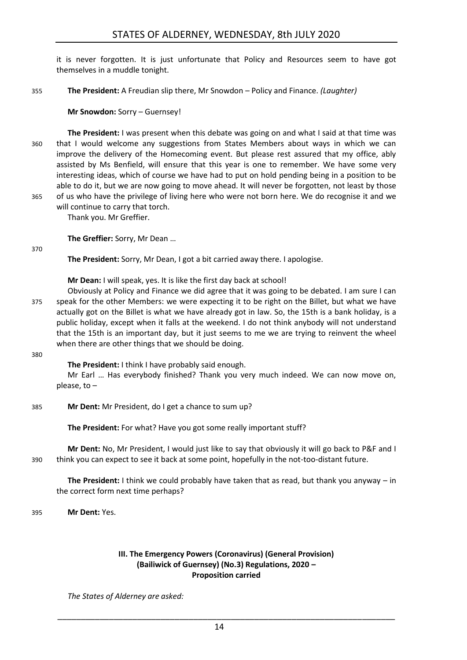it is never forgotten. It is just unfortunate that Policy and Resources seem to have got themselves in a muddle tonight.

355 **The President:** A Freudian slip there, Mr Snowdon – Policy and Finance. *(Laughter)*

**Mr Snowdon:** Sorry – Guernsey!

**The President:** I was present when this debate was going on and what I said at that time was 360 that I would welcome any suggestions from States Members about ways in which we can improve the delivery of the Homecoming event. But please rest assured that my office, ably assisted by Ms Benfield, will ensure that this year is one to remember. We have some very interesting ideas, which of course we have had to put on hold pending being in a position to be able to do it, but we are now going to move ahead. It will never be forgotten, not least by those 365 of us who have the privilege of living here who were not born here. We do recognise it and we will continue to carry that torch.

Thank you. Mr Greffier.

**The Greffier:** Sorry, Mr Dean …

370

**The President:** Sorry, Mr Dean, I got a bit carried away there. I apologise.

**Mr Dean:** I will speak, yes. It is like the first day back at school!

Obviously at Policy and Finance we did agree that it was going to be debated. I am sure I can 375 speak for the other Members: we were expecting it to be right on the Billet, but what we have actually got on the Billet is what we have already got in law. So, the 15th is a bank holiday, is a public holiday, except when it falls at the weekend. I do not think anybody will not understand that the 15th is an important day, but it just seems to me we are trying to reinvent the wheel when there are other things that we should be doing.

380

**The President:** I think I have probably said enough.

Mr Earl … Has everybody finished? Thank you very much indeed. We can now move on, please, to –

385 **Mr Dent:** Mr President, do I get a chance to sum up?

**The President:** For what? Have you got some really important stuff?

**Mr Dent:** No, Mr President, I would just like to say that obviously it will go back to P&F and I 390 think you can expect to see it back at some point, hopefully in the not-too-distant future.

**The President:** I think we could probably have taken that as read, but thank you anyway – in the correct form next time perhaps?

395 **Mr Dent:** Yes.

### **III. The Emergency Powers (Coronavirus) (General Provision) (Bailiwick of Guernsey) (No.3) Regulations, 2020 – Proposition carried**

<span id="page-13-0"></span>*The States of Alderney are asked:*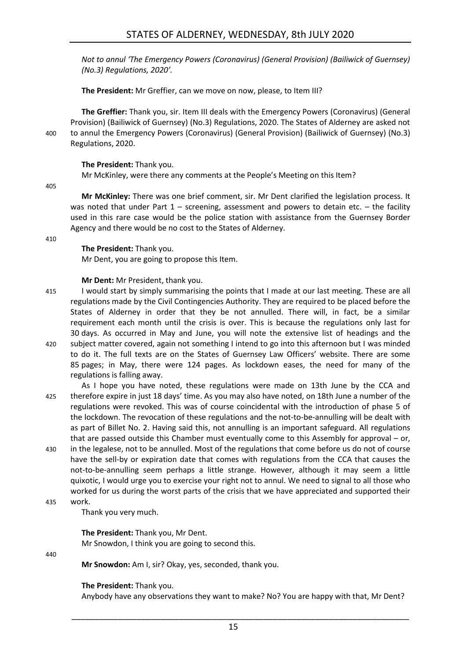*Not to annul 'The Emergency Powers (Coronavirus) (General Provision) (Bailiwick of Guernsey) (No.3) Regulations, 2020'.*

**The President:** Mr Greffier, can we move on now, please, to Item III?

**The Greffier:** Thank you, sir. Item III deals with the Emergency Powers (Coronavirus) (General Provision) (Bailiwick of Guernsey) (No.3) Regulations, 2020. The States of Alderney are asked not 400 to annul the Emergency Powers (Coronavirus) (General Provision) (Bailiwick of Guernsey) (No.3) Regulations, 2020.

**The President:** Thank you.

Mr McKinley, were there any comments at the People's Meeting on this Item?

405

**Mr McKinley:** There was one brief comment, sir. Mr Dent clarified the legislation process. It was noted that under Part  $1$  – screening, assessment and powers to detain etc. – the facility used in this rare case would be the police station with assistance from the Guernsey Border Agency and there would be no cost to the States of Alderney.

410

### **The President:** Thank you.

Mr Dent, you are going to propose this Item.

### **Mr Dent:** Mr President, thank you.

- 415 I would start by simply summarising the points that I made at our last meeting. These are all regulations made by the Civil Contingencies Authority. They are required to be placed before the States of Alderney in order that they be not annulled. There will, in fact, be a similar requirement each month until the crisis is over. This is because the regulations only last for 30 days. As occurred in May and June, you will note the extensive list of headings and the 420 subject matter covered, again not something I intend to go into this afternoon but I was minded to do it. The full texts are on the States of Guernsey Law Officers' website. There are some 85 pages; in May, there were 124 pages. As lockdown eases, the need for many of the regulations is falling away.
- As I hope you have noted, these regulations were made on 13th June by the CCA and 425 therefore expire in just 18 days' time. As you may also have noted, on 18th June a number of the regulations were revoked. This was of course coincidental with the introduction of phase 5 of the lockdown. The revocation of these regulations and the not-to-be-annulling will be dealt with as part of Billet No. 2. Having said this, not annulling is an important safeguard. All regulations that are passed outside this Chamber must eventually come to this Assembly for approval – or,
- 430 in the legalese, not to be annulled. Most of the regulations that come before us do not of course have the sell-by or expiration date that comes with regulations from the CCA that causes the not-to-be-annulling seem perhaps a little strange. However, although it may seem a little quixotic, I would urge you to exercise your right not to annul. We need to signal to all those who worked for us during the worst parts of the crisis that we have appreciated and supported their
- 435 work.

Thank you very much.

### **The President:** Thank you, Mr Dent. Mr Snowdon, I think you are going to second this.

440

**Mr Snowdon:** Am I, sir? Okay, yes, seconded, thank you.

### **The President:** Thank you.

Anybody have any observations they want to make? No? You are happy with that, Mr Dent?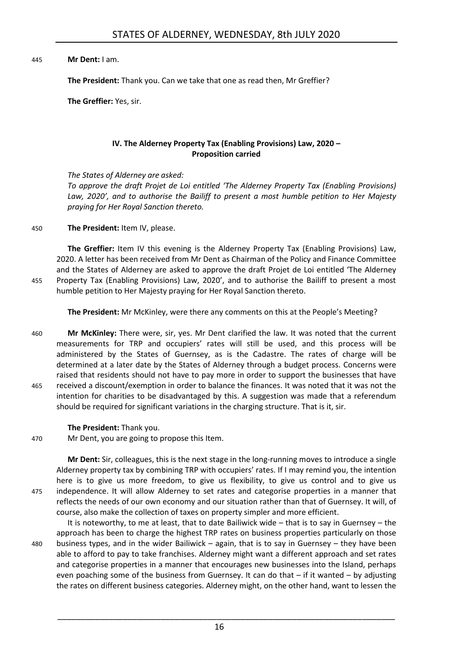### 445 **Mr Dent:** I am.

**The President:** Thank you. Can we take that one as read then, Mr Greffier?

**The Greffier:** Yes, sir.

### **IV. The Alderney Property Tax (Enabling Provisions) Law, 2020 – Proposition carried**

<span id="page-15-0"></span>*The States of Alderney are asked:*

*To approve the draft Projet de Loi entitled 'The Alderney Property Tax (Enabling Provisions) Law, 2020', and to authorise the Bailiff to present a most humble petition to Her Majesty praying for Her Royal Sanction thereto.*

450 **The President:** Item IV, please.

**The Greffier:** Item IV this evening is the Alderney Property Tax (Enabling Provisions) Law, 2020. A letter has been received from Mr Dent as Chairman of the Policy and Finance Committee and the States of Alderney are asked to approve the draft Projet de Loi entitled 'The Alderney 455 Property Tax (Enabling Provisions) Law, 2020', and to authorise the Bailiff to present a most humble petition to Her Majesty praying for Her Royal Sanction thereto.

**The President:** Mr McKinley, were there any comments on this at the People's Meeting?

460 **Mr McKinley:** There were, sir, yes. Mr Dent clarified the law. It was noted that the current measurements for TRP and occupiers' rates will still be used, and this process will be administered by the States of Guernsey, as is the Cadastre. The rates of charge will be determined at a later date by the States of Alderney through a budget process. Concerns were raised that residents should not have to pay more in order to support the businesses that have 465 received a discount/exemption in order to balance the finances. It was noted that it was not the intention for charities to be disadvantaged by this. A suggestion was made that a referendum should be required for significant variations in the charging structure. That is it, sir.

**The President:** Thank you.

470 Mr Dent, you are going to propose this Item.

**Mr Dent:** Sir, colleagues, this is the next stage in the long-running moves to introduce a single Alderney property tax by combining TRP with occupiers' rates. If I may remind you, the intention here is to give us more freedom, to give us flexibility, to give us control and to give us 475 independence. It will allow Alderney to set rates and categorise properties in a manner that reflects the needs of our own economy and our situation rather than that of Guernsey. It will, of course, also make the collection of taxes on property simpler and more efficient.

It is noteworthy, to me at least, that to date Bailiwick wide – that is to say in Guernsey – the approach has been to charge the highest TRP rates on business properties particularly on those 480 business types, and in the wider Bailiwick – again, that is to say in Guernsey – they have been able to afford to pay to take franchises. Alderney might want a different approach and set rates and categorise properties in a manner that encourages new businesses into the Island, perhaps even poaching some of the business from Guernsey. It can do that – if it wanted – by adjusting the rates on different business categories. Alderney might, on the other hand, want to lessen the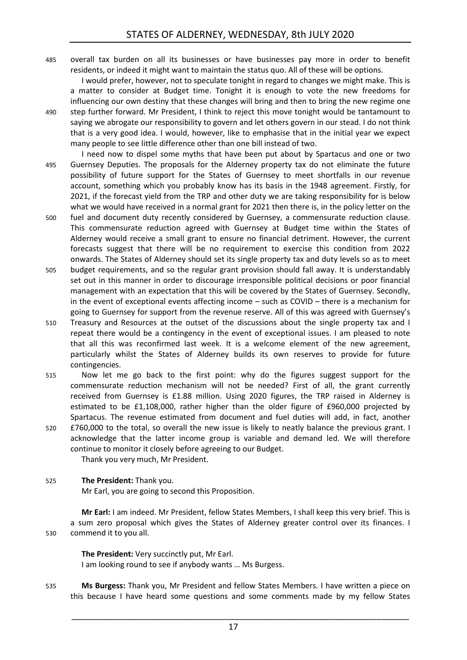485 overall tax burden on all its businesses or have businesses pay more in order to benefit residents, or indeed it might want to maintain the status quo. All of these will be options.

I would prefer, however, not to speculate tonight in regard to changes we might make. This is a matter to consider at Budget time. Tonight it is enough to vote the new freedoms for influencing our own destiny that these changes will bring and then to bring the new regime one 490 step further forward. Mr President, I think to reject this move tonight would be tantamount to saying we abrogate our responsibility to govern and let others govern in our stead. I do not think that is a very good idea. I would, however, like to emphasise that in the initial year we expect many people to see little difference other than one bill instead of two.

- I need now to dispel some myths that have been put about by Spartacus and one or two 495 Guernsey Deputies. The proposals for the Alderney property tax do not eliminate the future possibility of future support for the States of Guernsey to meet shortfalls in our revenue account, something which you probably know has its basis in the 1948 agreement. Firstly, for 2021, if the forecast yield from the TRP and other duty we are taking responsibility for is below what we would have received in a normal grant for 2021 then there is, in the policy letter on the
- 500 fuel and document duty recently considered by Guernsey, a commensurate reduction clause. This commensurate reduction agreed with Guernsey at Budget time within the States of Alderney would receive a small grant to ensure no financial detriment. However, the current forecasts suggest that there will be no requirement to exercise this condition from 2022 onwards. The States of Alderney should set its single property tax and duty levels so as to meet
- 505 budget requirements, and so the regular grant provision should fall away. It is understandably set out in this manner in order to discourage irresponsible political decisions or poor financial management with an expectation that this will be covered by the States of Guernsey. Secondly, in the event of exceptional events affecting income – such as COVID – there is a mechanism for going to Guernsey for support from the revenue reserve. All of this was agreed with Guernsey's
- 510 Treasury and Resources at the outset of the discussions about the single property tax and I repeat there would be a contingency in the event of exceptional issues. I am pleased to note that all this was reconfirmed last week. It is a welcome element of the new agreement, particularly whilst the States of Alderney builds its own reserves to provide for future contingencies.
- 515 Now let me go back to the first point: why do the figures suggest support for the commensurate reduction mechanism will not be needed? First of all, the grant currently received from Guernsey is £1.88 million. Using 2020 figures, the TRP raised in Alderney is estimated to be £1,108,000, rather higher than the older figure of £960,000 projected by Spartacus. The revenue estimated from document and fuel duties will add, in fact, another
- 520 £760,000 to the total, so overall the new issue is likely to neatly balance the previous grant. I acknowledge that the latter income group is variable and demand led. We will therefore continue to monitor it closely before agreeing to our Budget.

Thank you very much, Mr President.

525 **The President:** Thank you. Mr Earl, you are going to second this Proposition.

**Mr Earl:** I am indeed. Mr President, fellow States Members, I shall keep this very brief. This is a sum zero proposal which gives the States of Alderney greater control over its finances. I 530 commend it to you all.

**The President:** Very succinctly put, Mr Earl.

I am looking round to see if anybody wants … Ms Burgess.

535 **Ms Burgess:** Thank you, Mr President and fellow States Members. I have written a piece on this because I have heard some questions and some comments made by my fellow States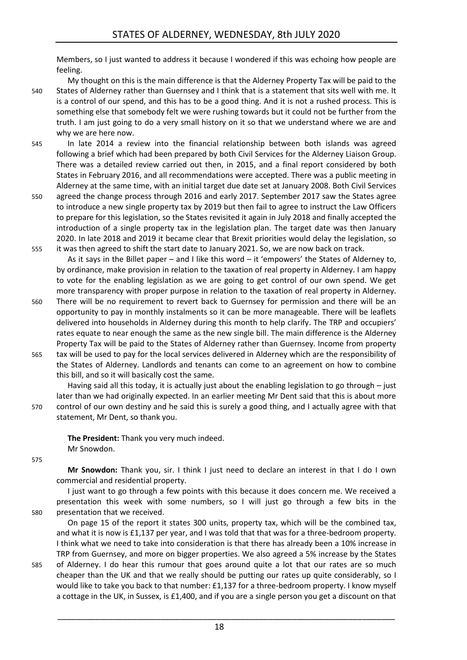Members, so I just wanted to address it because I wondered if this was echoing how people are feeling.

- My thought on this is the main difference is that the Alderney Property Tax will be paid to the 540 States of Alderney rather than Guernsey and I think that is a statement that sits well with me. It is a control of our spend, and this has to be a good thing. And it is not a rushed process. This is something else that somebody felt we were rushing towards but it could not be further from the truth. I am just going to do a very small history on it so that we understand where we are and why we are here now.
- 545 In late 2014 a review into the financial relationship between both islands was agreed following a brief which had been prepared by both Civil Services for the Alderney Liaison Group. There was a detailed review carried out then, in 2015, and a final report considered by both States in February 2016, and all recommendations were accepted. There was a public meeting in Alderney at the same time, with an initial target due date set at January 2008. Both Civil Services
- 550 agreed the change process through 2016 and early 2017. September 2017 saw the States agree to introduce a new single property tax by 2019 but then fail to agree to instruct the Law Officers to prepare for this legislation, so the States revisited it again in July 2018 and finally accepted the introduction of a single property tax in the legislation plan. The target date was then January 2020. In late 2018 and 2019 it became clear that Brexit priorities would delay the legislation, so
- 555 it was then agreed to shift the start date to January 2021. So, we are now back on track. As it says in the Billet paper – and I like this word – it 'empowers' the States of Alderney to, by ordinance, make provision in relation to the taxation of real property in Alderney. I am happy to vote for the enabling legislation as we are going to get control of our own spend. We get more transparency with proper purpose in relation to the taxation of real property in Alderney.
- 560 There will be no requirement to revert back to Guernsey for permission and there will be an opportunity to pay in monthly instalments so it can be more manageable. There will be leaflets delivered into households in Alderney during this month to help clarify. The TRP and occupiers' rates equate to near enough the same as the new single bill. The main difference is the Alderney Property Tax will be paid to the States of Alderney rather than Guernsey. Income from property
- 565 tax will be used to pay for the local services delivered in Alderney which are the responsibility of the States of Alderney. Landlords and tenants can come to an agreement on how to combine this bill, and so it will basically cost the same.

Having said all this today, it is actually just about the enabling legislation to go through – just later than we had originally expected. In an earlier meeting Mr Dent said that this is about more 570 control of our own destiny and he said this is surely a good thing, and I actually agree with that statement, Mr Dent, so thank you.

**The President:** Thank you very much indeed. Mr Snowdon.

575

**Mr Snowdon:** Thank you, sir. I think I just need to declare an interest in that I do I own commercial and residential property.

I just want to go through a few points with this because it does concern me. We received a presentation this week with some numbers, so I will just go through a few bits in the 580 presentation that we received.

On page 15 of the report it states 300 units, property tax, which will be the combined tax, and what it is now is £1,137 per year, and I was told that that was for a three-bedroom property. I think what we need to take into consideration is that there has already been a 10% increase in TRP from Guernsey, and more on bigger properties. We also agreed a 5% increase by the States

585 of Alderney. I do hear this rumour that goes around quite a lot that our rates are so much cheaper than the UK and that we really should be putting our rates up quite considerably, so I would like to take you back to that number: £1,137 for a three-bedroom property. I know myself a cottage in the UK, in Sussex, is £1,400, and if you are a single person you get a discount on that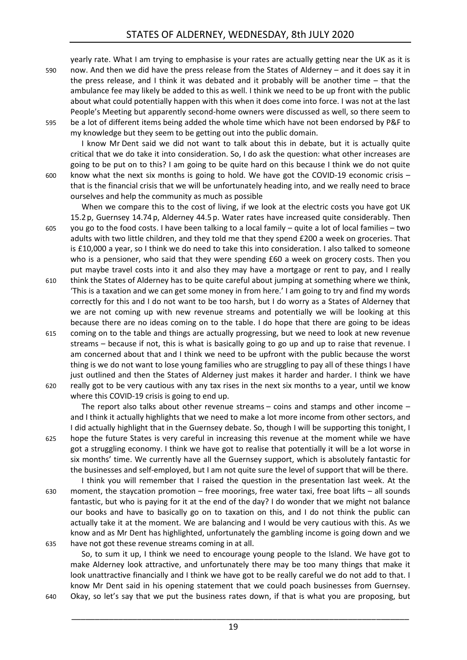yearly rate. What I am trying to emphasise is your rates are actually getting near the UK as it is 590 now. And then we did have the press release from the States of Alderney – and it does say it in the press release, and I think it was debated and it probably will be another time – that the ambulance fee may likely be added to this as well. I think we need to be up front with the public about what could potentially happen with this when it does come into force. I was not at the last People's Meeting but apparently second-home owners were discussed as well, so there seem to 595 be a lot of different items being added the whole time which have not been endorsed by P&F to my knowledge but they seem to be getting out into the public domain.

I know Mr Dent said we did not want to talk about this in debate, but it is actually quite critical that we do take it into consideration. So, I do ask the question: what other increases are going to be put on to this? I am going to be quite hard on this because I think we do not quite 600 know what the next six months is going to hold. We have got the COVID-19 economic crisis – that is the financial crisis that we will be unfortunately heading into, and we really need to brace ourselves and help the community as much as possible

When we compare this to the cost of living, if we look at the electric costs you have got UK 15.2p, Guernsey 14.74 p, Alderney 44.5 p. Water rates have increased quite considerably. Then 605 you go to the food costs. I have been talking to a local family – quite a lot of local families – two adults with two little children, and they told me that they spend £200 a week on groceries. That is £10,000 a year, so I think we do need to take this into consideration. I also talked to someone who is a pensioner, who said that they were spending £60 a week on grocery costs. Then you put maybe travel costs into it and also they may have a mortgage or rent to pay, and I really 610 think the States of Alderney has to be quite careful about jumping at something where we think,

- 'This is a taxation and we can get some money in from here.' I am going to try and find my words correctly for this and I do not want to be too harsh, but I do worry as a States of Alderney that we are not coming up with new revenue streams and potentially we will be looking at this because there are no ideas coming on to the table. I do hope that there are going to be ideas
- 615 coming on to the table and things are actually progressing, but we need to look at new revenue streams – because if not, this is what is basically going to go up and up to raise that revenue. I am concerned about that and I think we need to be upfront with the public because the worst thing is we do not want to lose young families who are struggling to pay all of these things I have just outlined and then the States of Alderney just makes it harder and harder. I think we have 620 really got to be very cautious with any tax rises in the next six months to a year, until we know

where this COVID-19 crisis is going to end up.

The report also talks about other revenue streams – coins and stamps and other income – and I think it actually highlights that we need to make a lot more income from other sectors, and I did actually highlight that in the Guernsey debate. So, though I will be supporting this tonight, I 625 hope the future States is very careful in increasing this revenue at the moment while we have got a struggling economy. I think we have got to realise that potentially it will be a lot worse in six months' time. We currently have all the Guernsey support, which is absolutely fantastic for the businesses and self-employed, but I am not quite sure the level of support that will be there.

I think you will remember that I raised the question in the presentation last week. At the 630 moment, the staycation promotion – free moorings, free water taxi, free boat lifts – all sounds fantastic, but who is paying for it at the end of the day? I do wonder that we might not balance our books and have to basically go on to taxation on this, and I do not think the public can actually take it at the moment. We are balancing and I would be very cautious with this. As we know and as Mr Dent has highlighted, unfortunately the gambling income is going down and we 635 have not got these revenue streams coming in at all.

So, to sum it up, I think we need to encourage young people to the Island. We have got to make Alderney look attractive, and unfortunately there may be too many things that make it look unattractive financially and I think we have got to be really careful we do not add to that. I know Mr Dent said in his opening statement that we could poach businesses from Guernsey. 640 Okay, so let's say that we put the business rates down, if that is what you are proposing, but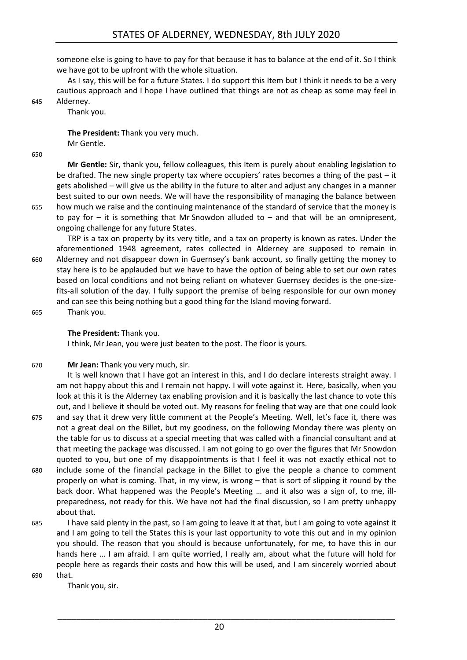someone else is going to have to pay for that because it has to balance at the end of it. So I think we have got to be upfront with the whole situation.

As I say, this will be for a future States. I do support this Item but I think it needs to be a very cautious approach and I hope I have outlined that things are not as cheap as some may feel in 645 Alderney.

Thank you.

**The President:** Thank you very much. Mr Gentle.

650

**Mr Gentle:** Sir, thank you, fellow colleagues, this Item is purely about enabling legislation to be drafted. The new single property tax where occupiers' rates becomes a thing of the past – it gets abolished – will give us the ability in the future to alter and adjust any changes in a manner best suited to our own needs. We will have the responsibility of managing the balance between 655 how much we raise and the continuing maintenance of the standard of service that the money is

to pay for  $-$  it is something that Mr Snowdon alluded to  $-$  and that will be an omnipresent, ongoing challenge for any future States.

TRP is a tax on property by its very title, and a tax on property is known as rates. Under the aforementioned 1948 agreement, rates collected in Alderney are supposed to remain in 660 Alderney and not disappear down in Guernsey's bank account, so finally getting the money to stay here is to be applauded but we have to have the option of being able to set our own rates based on local conditions and not being reliant on whatever Guernsey decides is the one-sizefits-all solution of the day. I fully support the premise of being responsible for our own money and can see this being nothing but a good thing for the Island moving forward.

665 Thank you.

### **The President:** Thank you.

I think, Mr Jean, you were just beaten to the post. The floor is yours.

670 **Mr Jean:** Thank you very much, sir.

It is well known that I have got an interest in this, and I do declare interests straight away. I am not happy about this and I remain not happy. I will vote against it. Here, basically, when you look at this it is the Alderney tax enabling provision and it is basically the last chance to vote this out, and I believe it should be voted out. My reasons for feeling that way are that one could look

- 675 and say that it drew very little comment at the People's Meeting. Well, let's face it, there was not a great deal on the Billet, but my goodness, on the following Monday there was plenty on the table for us to discuss at a special meeting that was called with a financial consultant and at that meeting the package was discussed. I am not going to go over the figures that Mr Snowdon quoted to you, but one of my disappointments is that I feel it was not exactly ethical not to
- 680 include some of the financial package in the Billet to give the people a chance to comment properly on what is coming. That, in my view, is wrong – that is sort of slipping it round by the back door. What happened was the People's Meeting … and it also was a sign of, to me, illpreparedness, not ready for this. We have not had the final discussion, so I am pretty unhappy about that.
- 685 I have said plenty in the past, so I am going to leave it at that, but I am going to vote against it and I am going to tell the States this is your last opportunity to vote this out and in my opinion you should. The reason that you should is because unfortunately, for me, to have this in our hands here … I am afraid. I am quite worried, I really am, about what the future will hold for people here as regards their costs and how this will be used, and I am sincerely worried about 690 that.

Thank you, sir.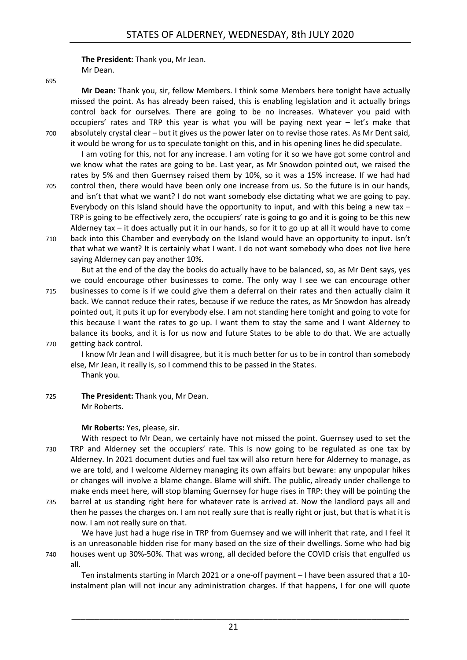**The President:** Thank you, Mr Jean. Mr Dean.

695

**Mr Dean:** Thank you, sir, fellow Members. I think some Members here tonight have actually missed the point. As has already been raised, this is enabling legislation and it actually brings control back for ourselves. There are going to be no increases. Whatever you paid with occupiers' rates and TRP this year is what you will be paying next year – let's make that 700 absolutely crystal clear – but it gives us the power later on to revise those rates. As Mr Dent said, it would be wrong for us to speculate tonight on this, and in his opening lines he did speculate.

I am voting for this, not for any increase. I am voting for it so we have got some control and we know what the rates are going to be. Last year, as Mr Snowdon pointed out, we raised the rates by 5% and then Guernsey raised them by 10%, so it was a 15% increase. If we had had 705 control then, there would have been only one increase from us. So the future is in our hands, and isn't that what we want? I do not want somebody else dictating what we are going to pay. Everybody on this Island should have the opportunity to input, and with this being a new tax  $-$ TRP is going to be effectively zero, the occupiers' rate is going to go and it is going to be this new

Alderney tax – it does actually put it in our hands, so for it to go up at all it would have to come 710 back into this Chamber and everybody on the Island would have an opportunity to input. Isn't that what we want? It is certainly what I want. I do not want somebody who does not live here saying Alderney can pay another 10%.

But at the end of the day the books do actually have to be balanced, so, as Mr Dent says, yes we could encourage other businesses to come. The only way I see we can encourage other

715 businesses to come is if we could give them a deferral on their rates and then actually claim it back. We cannot reduce their rates, because if we reduce the rates, as Mr Snowdon has already pointed out, it puts it up for everybody else. I am not standing here tonight and going to vote for this because I want the rates to go up. I want them to stay the same and I want Alderney to balance its books, and it is for us now and future States to be able to do that. We are actually 720 getting back control.

I know Mr Jean and I will disagree, but it is much better for us to be in control than somebody else, Mr Jean, it really is, so I commend this to be passed in the States. Thank you.

725 **The President:** Thank you, Mr Dean. Mr Roberts.

### **Mr Roberts:** Yes, please, sir.

With respect to Mr Dean, we certainly have not missed the point. Guernsey used to set the 730 TRP and Alderney set the occupiers' rate. This is now going to be regulated as one tax by Alderney. In 2021 document duties and fuel tax will also return here for Alderney to manage, as we are told, and I welcome Alderney managing its own affairs but beware: any unpopular hikes or changes will involve a blame change. Blame will shift. The public, already under challenge to make ends meet here, will stop blaming Guernsey for huge rises in TRP: they will be pointing the 735 barrel at us standing right here for whatever rate is arrived at. Now the landlord pays all and

then he passes the charges on. I am not really sure that is really right or just, but that is what it is now. I am not really sure on that.

We have just had a huge rise in TRP from Guernsey and we will inherit that rate, and I feel it is an unreasonable hidden rise for many based on the size of their dwellings. Some who had big 740 houses went up 30%-50%. That was wrong, all decided before the COVID crisis that engulfed us all.

Ten instalments starting in March 2021 or a one-off payment – I have been assured that a 10 instalment plan will not incur any administration charges. If that happens, I for one will quote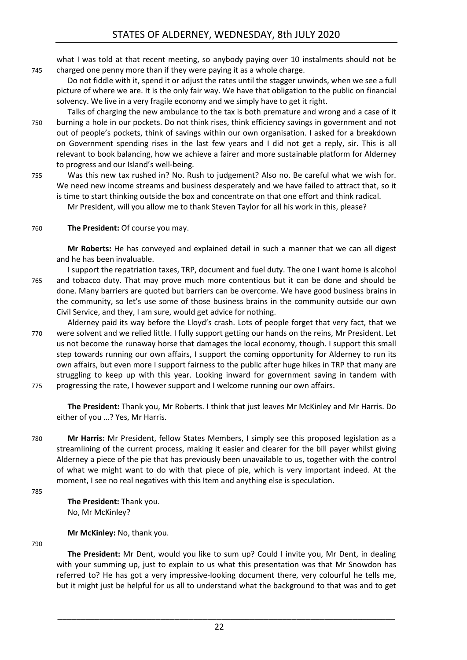what I was told at that recent meeting, so anybody paying over 10 instalments should not be 745 charged one penny more than if they were paying it as a whole charge.

Do not fiddle with it, spend it or adjust the rates until the stagger unwinds, when we see a full picture of where we are. It is the only fair way. We have that obligation to the public on financial solvency. We live in a very fragile economy and we simply have to get it right.

Talks of charging the new ambulance to the tax is both premature and wrong and a case of it 750 burning a hole in our pockets. Do not think rises, think efficiency savings in government and not out of people's pockets, think of savings within our own organisation. I asked for a breakdown on Government spending rises in the last few years and I did not get a reply, sir. This is all relevant to book balancing, how we achieve a fairer and more sustainable platform for Alderney to progress and our Island's well-being.

755 Was this new tax rushed in? No. Rush to judgement? Also no. Be careful what we wish for. We need new income streams and business desperately and we have failed to attract that, so it is time to start thinking outside the box and concentrate on that one effort and think radical. Mr President, will you allow me to thank Steven Taylor for all his work in this, please?

### 760 **The President:** Of course you may.

**Mr Roberts:** He has conveyed and explained detail in such a manner that we can all digest and he has been invaluable.

- I support the repatriation taxes, TRP, document and fuel duty. The one I want home is alcohol 765 and tobacco duty. That may prove much more contentious but it can be done and should be done. Many barriers are quoted but barriers can be overcome. We have good business brains in the community, so let's use some of those business brains in the community outside our own Civil Service, and they, I am sure, would get advice for nothing.
- Alderney paid its way before the Lloyd's crash. Lots of people forget that very fact, that we 770 were solvent and we relied little. I fully support getting our hands on the reins, Mr President. Let us not become the runaway horse that damages the local economy, though. I support this small step towards running our own affairs, I support the coming opportunity for Alderney to run its own affairs, but even more I support fairness to the public after huge hikes in TRP that many are struggling to keep up with this year. Looking inward for government saving in tandem with 775 progressing the rate, I however support and I welcome running our own affairs.
	- **The President:** Thank you, Mr Roberts. I think that just leaves Mr McKinley and Mr Harris. Do either of you …? Yes, Mr Harris.
- 780 **Mr Harris:** Mr President, fellow States Members, I simply see this proposed legislation as a streamlining of the current process, making it easier and clearer for the bill payer whilst giving Alderney a piece of the pie that has previously been unavailable to us, together with the control of what we might want to do with that piece of pie, which is very important indeed. At the moment, I see no real negatives with this Item and anything else is speculation.

785

**The President:** Thank you. No, Mr McKinley?

**Mr McKinley:** No, thank you.

790

**The President:** Mr Dent, would you like to sum up? Could I invite you, Mr Dent, in dealing with your summing up, just to explain to us what this presentation was that Mr Snowdon has referred to? He has got a very impressive-looking document there, very colourful he tells me, but it might just be helpful for us all to understand what the background to that was and to get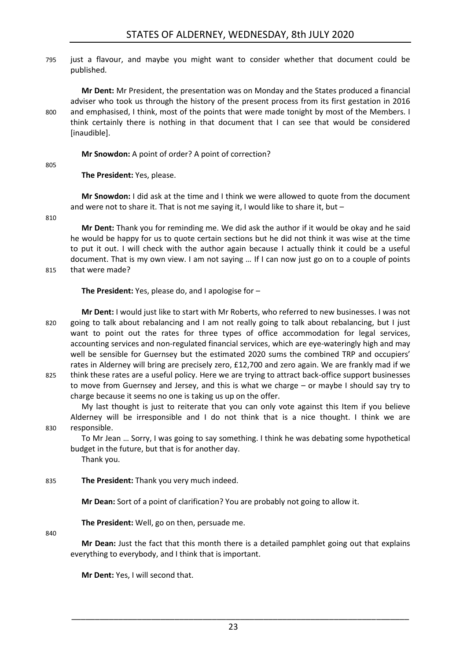795 just a flavour, and maybe you might want to consider whether that document could be published.

**Mr Dent:** Mr President, the presentation was on Monday and the States produced a financial adviser who took us through the history of the present process from its first gestation in 2016 800 and emphasised, I think, most of the points that were made tonight by most of the Members. I think certainly there is nothing in that document that I can see that would be considered [inaudible].

**Mr Snowdon:** A point of order? A point of correction?

805

**The President:** Yes, please.

**Mr Snowdon:** I did ask at the time and I think we were allowed to quote from the document and were not to share it. That is not me saying it, I would like to share it, but  $-$ 

810

**Mr Dent:** Thank you for reminding me. We did ask the author if it would be okay and he said he would be happy for us to quote certain sections but he did not think it was wise at the time to put it out. I will check with the author again because I actually think it could be a useful document. That is my own view. I am not saying … If I can now just go on to a couple of points 815 that were made?

**The President:** Yes, please do, and I apologise for –

**Mr Dent:** I would just like to start with Mr Roberts, who referred to new businesses. I was not 820 going to talk about rebalancing and I am not really going to talk about rebalancing, but I just want to point out the rates for three types of office accommodation for legal services, accounting services and non-regulated financial services, which are eye-wateringly high and may well be sensible for Guernsey but the estimated 2020 sums the combined TRP and occupiers' rates in Alderney will bring are precisely zero, £12,700 and zero again. We are frankly mad if we

825 think these rates are a useful policy. Here we are trying to attract back-office support businesses to move from Guernsey and Jersey, and this is what we charge – or maybe I should say try to charge because it seems no one is taking us up on the offer.

My last thought is just to reiterate that you can only vote against this Item if you believe Alderney will be irresponsible and I do not think that is a nice thought. I think we are 830 responsible.

To Mr Jean … Sorry, I was going to say something. I think he was debating some hypothetical budget in the future, but that is for another day.

Thank you.

835 **The President:** Thank you very much indeed.

**Mr Dean:** Sort of a point of clarification? You are probably not going to allow it.

**The President:** Well, go on then, persuade me.

840

**Mr Dean:** Just the fact that this month there is a detailed pamphlet going out that explains everything to everybody, and I think that is important.

**Mr Dent:** Yes, I will second that.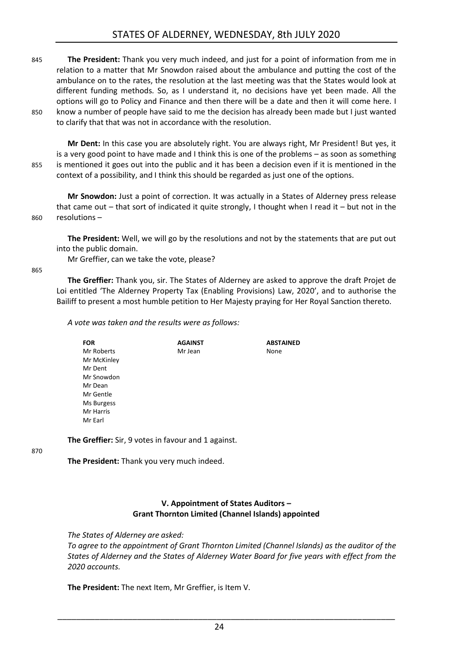### STATES OF ALDERNEY, WEDNESDAY, 8th JULY 2020

845 **The President:** Thank you very much indeed, and just for a point of information from me in relation to a matter that Mr Snowdon raised about the ambulance and putting the cost of the ambulance on to the rates, the resolution at the last meeting was that the States would look at different funding methods. So, as I understand it, no decisions have yet been made. All the options will go to Policy and Finance and then there will be a date and then it will come here. I 850 know a number of people have said to me the decision has already been made but I just wanted to clarify that that was not in accordance with the resolution.

**Mr Dent:** In this case you are absolutely right. You are always right, Mr President! But yes, it is a very good point to have made and I think this is one of the problems – as soon as something 855 is mentioned it goes out into the public and it has been a decision even if it is mentioned in the context of a possibility, and I think this should be regarded as just one of the options.

**Mr Snowdon:** Just a point of correction. It was actually in a States of Alderney press release that came out – that sort of indicated it quite strongly, I thought when I read it – but not in the 860 resolutions –

**The President:** Well, we will go by the resolutions and not by the statements that are put out into the public domain.

Mr Greffier, can we take the vote, please?

### 865

**The Greffier:** Thank you, sir. The States of Alderney are asked to approve the draft Projet de Loi entitled 'The Alderney Property Tax (Enabling Provisions) Law, 2020', and to authorise the Bailiff to present a most humble petition to Her Majesty praying for Her Royal Sanction thereto.

> **ABSTAINED** None

*A vote was taken and the results were as follows:*

**AGAINST** Mr Jean

**FOR** Mr Roberts Mr McKinley Mr Dent Mr Snowdon Mr Dean Mr Gentle Ms Burgess Mr Harris Mr Earl

**The Greffier:** Sir, 9 votes in favour and 1 against.

### 870

**The President:** Thank you very much indeed.

### **V. Appointment of States Auditors – Grant Thornton Limited (Channel Islands) appointed**

<span id="page-23-0"></span>*The States of Alderney are asked:*

*To agree to the appointment of Grant Thornton Limited (Channel Islands) as the auditor of the States of Alderney and the States of Alderney Water Board for five years with effect from the 2020 accounts.*

**The President:** The next Item, Mr Greffier, is Item V.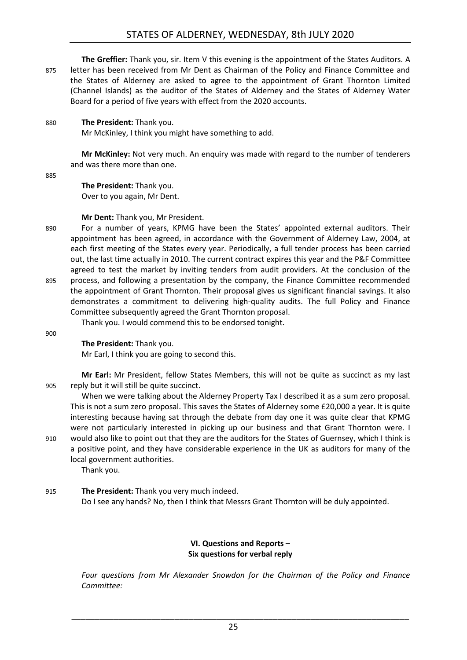### STATES OF ALDERNEY, WEDNESDAY, 8th JULY 2020

**The Greffier:** Thank you, sir. Item V this evening is the appointment of the States Auditors. A 875 letter has been received from Mr Dent as Chairman of the Policy and Finance Committee and the States of Alderney are asked to agree to the appointment of Grant Thornton Limited (Channel Islands) as the auditor of the States of Alderney and the States of Alderney Water Board for a period of five years with effect from the 2020 accounts.

880 **The President:** Thank you. Mr McKinley, I think you might have something to add.

> **Mr McKinley:** Not very much. An enquiry was made with regard to the number of tenderers and was there more than one.

885

**The President:** Thank you. Over to you again, Mr Dent.

**Mr Dent:** Thank you, Mr President.

890 For a number of years, KPMG have been the States' appointed external auditors. Their appointment has been agreed, in accordance with the Government of Alderney Law, 2004, at each first meeting of the States every year. Periodically, a full tender process has been carried out, the last time actually in 2010. The current contract expires this year and the P&F Committee agreed to test the market by inviting tenders from audit providers. At the conclusion of the 895 process, and following a presentation by the company, the Finance Committee recommended the appointment of Grant Thornton. Their proposal gives us significant financial savings. It also demonstrates a commitment to delivering high-quality audits. The full Policy and Finance Committee subsequently agreed the Grant Thornton proposal.

Thank you. I would commend this to be endorsed tonight.

### 900

### **The President:** Thank you.

Mr Earl, I think you are going to second this.

**Mr Earl:** Mr President, fellow States Members, this will not be quite as succinct as my last 905 reply but it will still be quite succinct.

When we were talking about the Alderney Property Tax I described it as a sum zero proposal. This is not a sum zero proposal. This saves the States of Alderney some £20,000 a year. It is quite interesting because having sat through the debate from day one it was quite clear that KPMG were not particularly interested in picking up our business and that Grant Thornton were. I 910 would also like to point out that they are the auditors for the States of Guernsey, which I think is a positive point, and they have considerable experience in the UK as auditors for many of the local government authorities.

Thank you.

915 **The President:** Thank you very much indeed. Do I see any hands? No, then I think that Messrs Grant Thornton will be duly appointed.

### **VI. Questions and Reports – Six questions for verbal reply**

<span id="page-24-0"></span>*Four questions from Mr Alexander Snowdon for the Chairman of the Policy and Finance Committee:*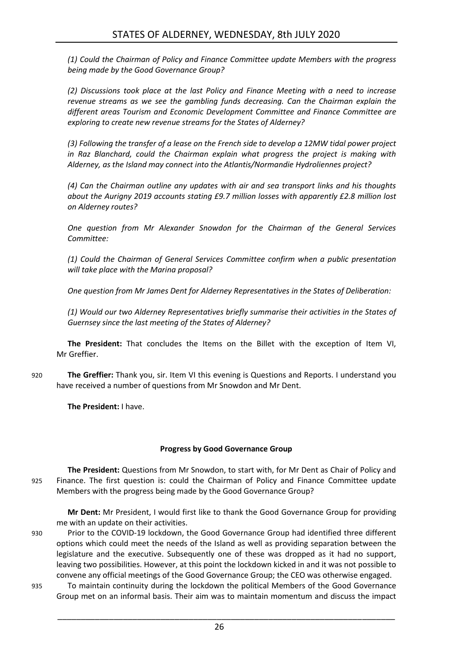*(1) Could the Chairman of Policy and Finance Committee update Members with the progress being made by the Good Governance Group?*

*(2) Discussions took place at the last Policy and Finance Meeting with a need to increase revenue streams as we see the gambling funds decreasing. Can the Chairman explain the different areas Tourism and Economic Development Committee and Finance Committee are exploring to create new revenue streams for the States of Alderney?*

*(3) Following the transfer of a lease on the French side to develop a 12MW tidal power project in Raz Blanchard, could the Chairman explain what progress the project is making with Alderney, as the Island may connect into the Atlantis/Normandie Hydroliennes project?*

*(4) Can the Chairman outline any updates with air and sea transport links and his thoughts about the Aurigny 2019 accounts stating £9.7 million losses with apparently £2.8 million lost on Alderney routes?*

*One question from Mr Alexander Snowdon for the Chairman of the General Services Committee:*

*(1) Could the Chairman of General Services Committee confirm when a public presentation will take place with the Marina proposal?*

*One question from Mr James Dent for Alderney Representatives in the States of Deliberation:*

*(1) Would our two Alderney Representatives briefly summarise their activities in the States of Guernsey since the last meeting of the States of Alderney?*

**The President:** That concludes the Items on the Billet with the exception of Item VI, Mr Greffier.

920 **The Greffier:** Thank you, sir. Item VI this evening is Questions and Reports. I understand you have received a number of questions from Mr Snowdon and Mr Dent.

**The President:** I have.

### **Progress by Good Governance Group**

<span id="page-25-0"></span>**The President:** Questions from Mr Snowdon, to start with, for Mr Dent as Chair of Policy and 925 Finance. The first question is: could the Chairman of Policy and Finance Committee update Members with the progress being made by the Good Governance Group?

**Mr Dent:** Mr President, I would first like to thank the Good Governance Group for providing me with an update on their activities.

- 930 Prior to the COVID-19 lockdown, the Good Governance Group had identified three different options which could meet the needs of the Island as well as providing separation between the legislature and the executive. Subsequently one of these was dropped as it had no support, leaving two possibilities. However, at this point the lockdown kicked in and it was not possible to convene any official meetings of the Good Governance Group; the CEO was otherwise engaged.
- 935 To maintain continuity during the lockdown the political Members of the Good Governance Group met on an informal basis. Their aim was to maintain momentum and discuss the impact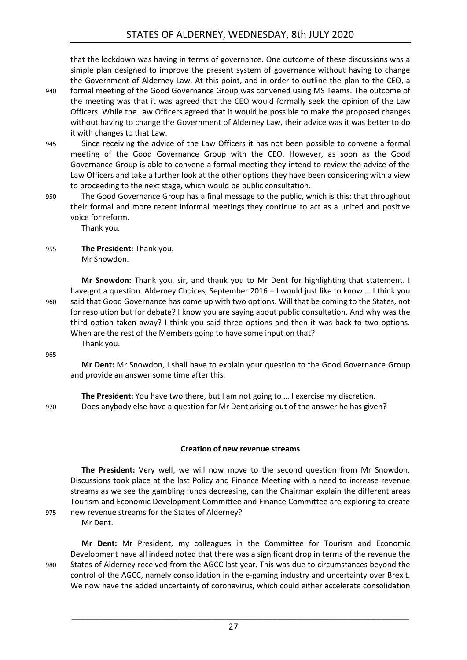that the lockdown was having in terms of governance. One outcome of these discussions was a simple plan designed to improve the present system of governance without having to change the Government of Alderney Law. At this point, and in order to outline the plan to the CEO, a

- 940 formal meeting of the Good Governance Group was convened using MS Teams. The outcome of the meeting was that it was agreed that the CEO would formally seek the opinion of the Law Officers. While the Law Officers agreed that it would be possible to make the proposed changes without having to change the Government of Alderney Law, their advice was it was better to do it with changes to that Law.
- 945 Since receiving the advice of the Law Officers it has not been possible to convene a formal meeting of the Good Governance Group with the CEO. However, as soon as the Good Governance Group is able to convene a formal meeting they intend to review the advice of the Law Officers and take a further look at the other options they have been considering with a view to proceeding to the next stage, which would be public consultation.
- 950 The Good Governance Group has a final message to the public, which is this: that throughout their formal and more recent informal meetings they continue to act as a united and positive voice for reform.

Thank you.

955 **The President:** Thank you. Mr Snowdon.

**Mr Snowdon:** Thank you, sir, and thank you to Mr Dent for highlighting that statement. I have got a question. Alderney Choices, September 2016 – I would just like to know … I think you 960 said that Good Governance has come up with two options. Will that be coming to the States, not for resolution but for debate? I know you are saying about public consultation. And why was the third option taken away? I think you said three options and then it was back to two options. When are the rest of the Members going to have some input on that? Thank you.

965

**Mr Dent:** Mr Snowdon, I shall have to explain your question to the Good Governance Group and provide an answer some time after this.

**The President:** You have two there, but I am not going to … I exercise my discretion. 970 Does anybody else have a question for Mr Dent arising out of the answer he has given?

### **Creation of new revenue streams**

<span id="page-26-0"></span>**The President:** Very well, we will now move to the second question from Mr Snowdon. Discussions took place at the last Policy and Finance Meeting with a need to increase revenue streams as we see the gambling funds decreasing, can the Chairman explain the different areas Tourism and Economic Development Committee and Finance Committee are exploring to create 975 new revenue streams for the States of Alderney?

Mr Dent.

**Mr Dent:** Mr President, my colleagues in the Committee for Tourism and Economic Development have all indeed noted that there was a significant drop in terms of the revenue the 980 States of Alderney received from the AGCC last year. This was due to circumstances beyond the control of the AGCC, namely consolidation in the e-gaming industry and uncertainty over Brexit. We now have the added uncertainty of coronavirus, which could either accelerate consolidation

27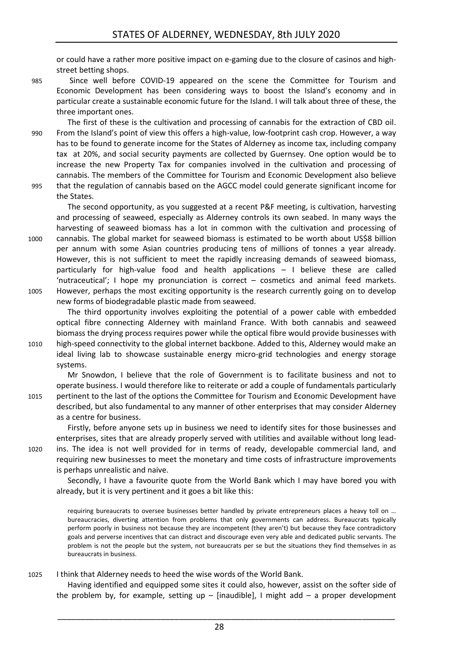or could have a rather more positive impact on e-gaming due to the closure of casinos and highstreet betting shops.

- 985 Since well before COVID-19 appeared on the scene the Committee for Tourism and Economic Development has been considering ways to boost the Island's economy and in particular create a sustainable economic future for the Island. I will talk about three of these, the three important ones.
- The first of these is the cultivation and processing of cannabis for the extraction of CBD oil. 990 From the Island's point of view this offers a high-value, low-footprint cash crop. However, a way has to be found to generate income for the States of Alderney as income tax, including company tax at 20%, and social security payments are collected by Guernsey. One option would be to increase the new Property Tax for companies involved in the cultivation and processing of cannabis. The members of the Committee for Tourism and Economic Development also believe
- 995 that the regulation of cannabis based on the AGCC model could generate significant income for the States.

The second opportunity, as you suggested at a recent P&F meeting, is cultivation, harvesting and processing of seaweed, especially as Alderney controls its own seabed. In many ways the harvesting of seaweed biomass has a lot in common with the cultivation and processing of

1000 cannabis. The global market for seaweed biomass is estimated to be worth about US\$8 billion per annum with some Asian countries producing tens of millions of tonnes a year already. However, this is not sufficient to meet the rapidly increasing demands of seaweed biomass, particularly for high-value food and health applications – I believe these are called 'nutraceutical'; I hope my pronunciation is correct – cosmetics and animal feed markets. 1005 However, perhaps the most exciting opportunity is the research currently going on to develop new forms of biodegradable plastic made from seaweed.

The third opportunity involves exploiting the potential of a power cable with embedded optical fibre connecting Alderney with mainland France. With both cannabis and seaweed biomass the drying process requires power while the optical fibre would provide businesses with 1010 high-speed connectivity to the global internet backbone. Added to this, Alderney would make an ideal living lab to showcase sustainable energy micro-grid technologies and energy storage systems.

Mr Snowdon, I believe that the role of Government is to facilitate business and not to operate business. I would therefore like to reiterate or add a couple of fundamentals particularly 1015 pertinent to the last of the options the Committee for Tourism and Economic Development have described, but also fundamental to any manner of other enterprises that may consider Alderney

as a centre for business.

Firstly, before anyone sets up in business we need to identify sites for those businesses and enterprises, sites that are already properly served with utilities and available without long lead-1020 ins. The idea is not well provided for in terms of ready, developable commercial land, and requiring new businesses to meet the monetary and time costs of infrastructure improvements is perhaps unrealistic and naive.

Secondly, I have a favourite quote from the World Bank which I may have bored you with already, but it is very pertinent and it goes a bit like this:

requiring bureaucrats to oversee businesses better handled by private entrepreneurs places a heavy toll on … bureaucracies, diverting attention from problems that only governments can address. Bureaucrats typically perform poorly in business not because they are incompetent (they aren't) but because they face contradictory goals and perverse incentives that can distract and discourage even very able and dedicated public servants. The problem is not the people but the system, not bureaucrats per se but the situations they find themselves in as bureaucrats in business.

1025 I think that Alderney needs to heed the wise words of the World Bank.

Having identified and equipped some sites it could also, however, assist on the softer side of the problem by, for example, setting  $up - [inaudible]$ , I might add  $-$  a proper development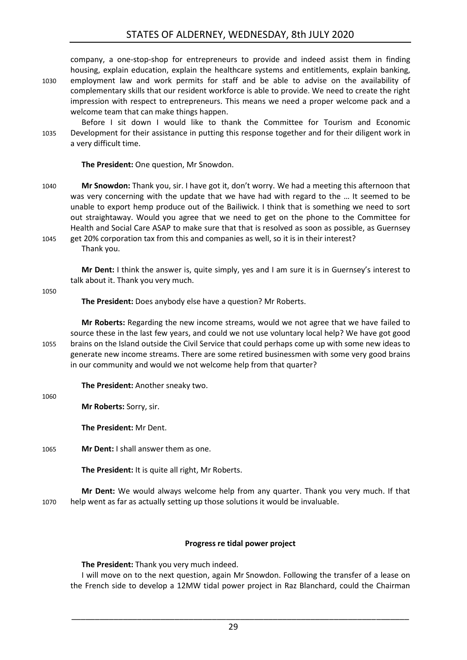company, a one-stop-shop for entrepreneurs to provide and indeed assist them in finding housing, explain education, explain the healthcare systems and entitlements, explain banking, 1030 employment law and work permits for staff and be able to advise on the availability of complementary skills that our resident workforce is able to provide. We need to create the right impression with respect to entrepreneurs. This means we need a proper welcome pack and a welcome team that can make things happen.

Before I sit down I would like to thank the Committee for Tourism and Economic 1035 Development for their assistance in putting this response together and for their diligent work in a very difficult time.

**The President:** One question, Mr Snowdon.

1040 **Mr Snowdon:** Thank you, sir. I have got it, don't worry. We had a meeting this afternoon that was very concerning with the update that we have had with regard to the … It seemed to be unable to export hemp produce out of the Bailiwick. I think that is something we need to sort out straightaway. Would you agree that we need to get on the phone to the Committee for Health and Social Care ASAP to make sure that that is resolved as soon as possible, as Guernsey 1045 get 20% corporation tax from this and companies as well, so it is in their interest?

Thank you.

**Mr Dent:** I think the answer is, quite simply, yes and I am sure it is in Guernsey's interest to talk about it. Thank you very much.

1050

**The President:** Does anybody else have a question? Mr Roberts.

**Mr Roberts:** Regarding the new income streams, would we not agree that we have failed to source these in the last few years, and could we not use voluntary local help? We have got good 1055 brains on the Island outside the Civil Service that could perhaps come up with some new ideas to generate new income streams. There are some retired businessmen with some very good brains in our community and would we not welcome help from that quarter?

**The President:** Another sneaky two.

1060

**Mr Roberts:** Sorry, sir.

**The President:** Mr Dent.

1065 **Mr Dent:** I shall answer them as one.

**The President:** It is quite all right, Mr Roberts.

**Mr Dent:** We would always welcome help from any quarter. Thank you very much. If that 1070 help went as far as actually setting up those solutions it would be invaluable.

### **Progress re tidal power project**

<span id="page-28-0"></span>**The President:** Thank you very much indeed.

I will move on to the next question, again Mr Snowdon. Following the transfer of a lease on the French side to develop a 12MW tidal power project in Raz Blanchard, could the Chairman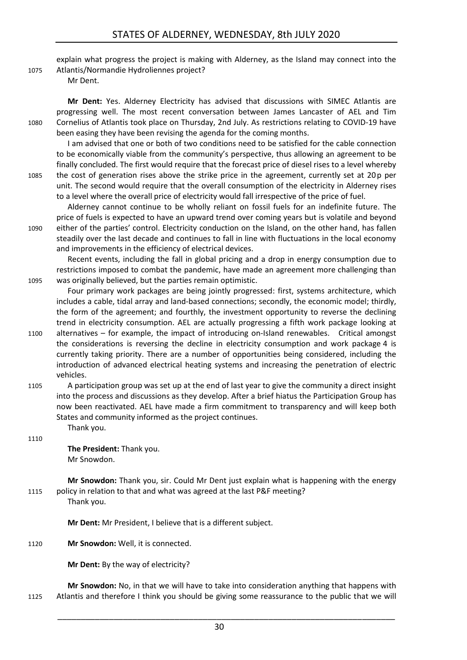explain what progress the project is making with Alderney, as the Island may connect into the 1075 Atlantis/Normandie Hydroliennes project?

Mr Dent.

**Mr Dent:** Yes. Alderney Electricity has advised that discussions with SIMEC Atlantis are progressing well. The most recent conversation between James Lancaster of AEL and Tim 1080 Cornelius of Atlantis took place on Thursday, 2nd July. As restrictions relating to COVID-19 have been easing they have been revising the agenda for the coming months.

I am advised that one or both of two conditions need to be satisfied for the cable connection to be economically viable from the community's perspective, thus allowing an agreement to be finally concluded. The first would require that the forecast price of diesel rises to a level whereby 1085 the cost of generation rises above the strike price in the agreement, currently set at 20p per unit. The second would require that the overall consumption of the electricity in Alderney rises to a level where the overall price of electricity would fall irrespective of the price of fuel.

Alderney cannot continue to be wholly reliant on fossil fuels for an indefinite future. The price of fuels is expected to have an upward trend over coming years but is volatile and beyond 1090 either of the parties' control. Electricity conduction on the Island, on the other hand, has fallen steadily over the last decade and continues to fall in line with fluctuations in the local economy and improvements in the efficiency of electrical devices.

Recent events, including the fall in global pricing and a drop in energy consumption due to restrictions imposed to combat the pandemic, have made an agreement more challenging than 1095 was originally believed, but the parties remain optimistic.

Four primary work packages are being jointly progressed: first, systems architecture, which includes a cable, tidal array and land-based connections; secondly, the economic model; thirdly, the form of the agreement; and fourthly, the investment opportunity to reverse the declining trend in electricity consumption. AEL are actually progressing a fifth work package looking at

- 1100 alternatives for example, the impact of introducing on-Island renewables. Critical amongst the considerations is reversing the decline in electricity consumption and work package 4 is currently taking priority. There are a number of opportunities being considered, including the introduction of advanced electrical heating systems and increasing the penetration of electric vehicles.
- 1105 A participation group was set up at the end of last year to give the community a direct insight into the process and discussions as they develop. After a brief hiatus the Participation Group has now been reactivated. AEL have made a firm commitment to transparency and will keep both States and community informed as the project continues.

Thank you.

**The President:** Thank you. Mr Snowdon.

**Mr Snowdon:** Thank you, sir. Could Mr Dent just explain what is happening with the energy 1115 policy in relation to that and what was agreed at the last P&F meeting?

Thank you.

1110

**Mr Dent:** Mr President, I believe that is a different subject.

1120 **Mr Snowdon:** Well, it is connected.

**Mr Dent:** By the way of electricity?

**Mr Snowdon:** No, in that we will have to take into consideration anything that happens with 1125 Atlantis and therefore I think you should be giving some reassurance to the public that we will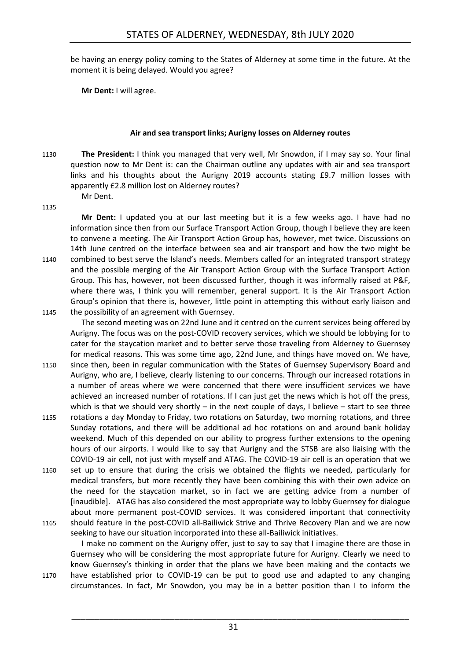be having an energy policy coming to the States of Alderney at some time in the future. At the moment it is being delayed. Would you agree?

**Mr Dent:** I will agree.

### **Air and sea transport links; Aurigny losses on Alderney routes**

<span id="page-30-0"></span>1130 **The President:** I think you managed that very well, Mr Snowdon, if I may say so. Your final question now to Mr Dent is: can the Chairman outline any updates with air and sea transport links and his thoughts about the Aurigny 2019 accounts stating £9.7 million losses with apparently £2.8 million lost on Alderney routes?

Mr Dent.

1135

**Mr Dent:** I updated you at our last meeting but it is a few weeks ago. I have had no information since then from our Surface Transport Action Group, though I believe they are keen to convene a meeting. The Air Transport Action Group has, however, met twice. Discussions on 14th June centred on the interface between sea and air transport and how the two might be 1140 combined to best serve the Island's needs. Members called for an integrated transport strategy and the possible merging of the Air Transport Action Group with the Surface Transport Action Group. This has, however, not been discussed further, though it was informally raised at P&F, where there was, I think you will remember, general support. It is the Air Transport Action Group's opinion that there is, however, little point in attempting this without early liaison and 1145 the possibility of an agreement with Guernsey.

- The second meeting was on 22nd June and it centred on the current services being offered by Aurigny. The focus was on the post-COVID recovery services, which we should be lobbying for to cater for the staycation market and to better serve those traveling from Alderney to Guernsey for medical reasons. This was some time ago, 22nd June, and things have moved on. We have,
- 1150 since then, been in regular communication with the States of Guernsey Supervisory Board and Aurigny, who are, I believe, clearly listening to our concerns. Through our increased rotations in a number of areas where we were concerned that there were insufficient services we have achieved an increased number of rotations. If I can just get the news which is hot off the press, which is that we should very shortly – in the next couple of days, I believe – start to see three
- 1155 rotations a day Monday to Friday, two rotations on Saturday, two morning rotations, and three Sunday rotations, and there will be additional ad hoc rotations on and around bank holiday weekend. Much of this depended on our ability to progress further extensions to the opening hours of our airports. I would like to say that Aurigny and the STSB are also liaising with the COVID-19 air cell, not just with myself and ATAG. The COVID-19 air cell is an operation that we
- 1160 set up to ensure that during the crisis we obtained the flights we needed, particularly for medical transfers, but more recently they have been combining this with their own advice on the need for the staycation market, so in fact we are getting advice from a number of [inaudible]. ATAG has also considered the most appropriate way to lobby Guernsey for dialogue about more permanent post-COVID services. It was considered important that connectivity
- 1165 should feature in the post-COVID all-Bailiwick Strive and Thrive Recovery Plan and we are now seeking to have our situation incorporated into these all-Bailiwick initiatives. I make no comment on the Aurigny offer, just to say to say that I imagine there are those in Guernsey who will be considering the most appropriate future for Aurigny. Clearly we need to know Guernsey's thinking in order that the plans we have been making and the contacts we
- 1170 have established prior to COVID-19 can be put to good use and adapted to any changing circumstances. In fact, Mr Snowdon, you may be in a better position than I to inform the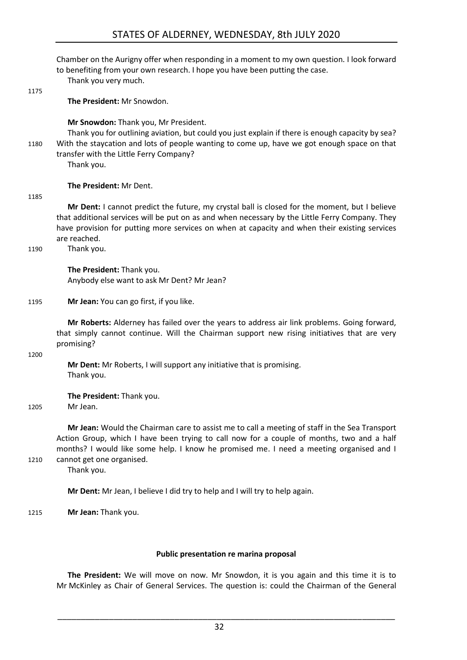### STATES OF ALDERNEY, WEDNESDAY, 8th JULY 2020

Chamber on the Aurigny offer when responding in a moment to my own question. I look forward to benefiting from your own research. I hope you have been putting the case.

1175

**The President:** Mr Snowdon.

Thank you very much.

**Mr Snowdon:** Thank you, Mr President.

Thank you for outlining aviation, but could you just explain if there is enough capacity by sea? 1180 With the staycation and lots of people wanting to come up, have we got enough space on that transfer with the Little Ferry Company?

Thank you.

**The President:** Mr Dent.

1185

**Mr Dent:** I cannot predict the future, my crystal ball is closed for the moment, but I believe that additional services will be put on as and when necessary by the Little Ferry Company. They have provision for putting more services on when at capacity and when their existing services are reached.

1190 Thank you.

**The President:** Thank you. Anybody else want to ask Mr Dent? Mr Jean?

1195 **Mr Jean:** You can go first, if you like.

**Mr Roberts:** Alderney has failed over the years to address air link problems. Going forward, that simply cannot continue. Will the Chairman support new rising initiatives that are very promising?

1200

**Mr Dent:** Mr Roberts, I will support any initiative that is promising. Thank you.

**The President:** Thank you.

1205 Mr Jean.

**Mr Jean:** Would the Chairman care to assist me to call a meeting of staff in the Sea Transport Action Group, which I have been trying to call now for a couple of months, two and a half months? I would like some help. I know he promised me. I need a meeting organised and I 1210 cannot get one organised.

Thank you.

**Mr Dent:** Mr Jean, I believe I did try to help and I will try to help again.

1215 **Mr Jean:** Thank you.

### **Public presentation re marina proposal**

<span id="page-31-0"></span>**The President:** We will move on now. Mr Snowdon, it is you again and this time it is to Mr McKinley as Chair of General Services. The question is: could the Chairman of the General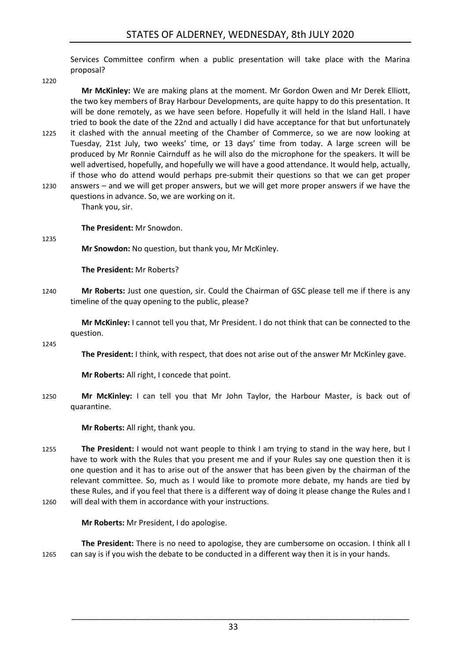Services Committee confirm when a public presentation will take place with the Marina proposal?

1220

**Mr McKinley:** We are making plans at the moment. Mr Gordon Owen and Mr Derek Elliott, the two key members of Bray Harbour Developments, are quite happy to do this presentation. It will be done remotely, as we have seen before. Hopefully it will held in the Island Hall. I have tried to book the date of the 22nd and actually I did have acceptance for that but unfortunately 1225 it clashed with the annual meeting of the Chamber of Commerce, so we are now looking at Tuesday, 21st July, two weeks' time, or 13 days' time from today. A large screen will be produced by Mr Ronnie Cairnduff as he will also do the microphone for the speakers. It will be well advertised, hopefully, and hopefully we will have a good attendance. It would help, actually,

if those who do attend would perhaps pre-submit their questions so that we can get proper 1230 answers – and we will get proper answers, but we will get more proper answers if we have the questions in advance. So, we are working on it.

Thank you, sir.

**The President:** Mr Snowdon.

1235

**Mr Snowdon:** No question, but thank you, Mr McKinley.

**The President:** Mr Roberts?

1240 **Mr Roberts:** Just one question, sir. Could the Chairman of GSC please tell me if there is any timeline of the quay opening to the public, please?

**Mr McKinley:** I cannot tell you that, Mr President. I do not think that can be connected to the question.

1245

**The President:** I think, with respect, that does not arise out of the answer Mr McKinley gave.

**Mr Roberts:** All right, I concede that point.

1250 **Mr McKinley:** I can tell you that Mr John Taylor, the Harbour Master, is back out of quarantine.

**Mr Roberts:** All right, thank you.

1255 **The President:** I would not want people to think I am trying to stand in the way here, but I have to work with the Rules that you present me and if your Rules say one question then it is one question and it has to arise out of the answer that has been given by the chairman of the relevant committee. So, much as I would like to promote more debate, my hands are tied by these Rules, and if you feel that there is a different way of doing it please change the Rules and I 1260 will deal with them in accordance with your instructions.

**Mr Roberts:** Mr President, I do apologise.

**The President:** There is no need to apologise, they are cumbersome on occasion. I think all I 1265 can say is if you wish the debate to be conducted in a different way then it is in your hands.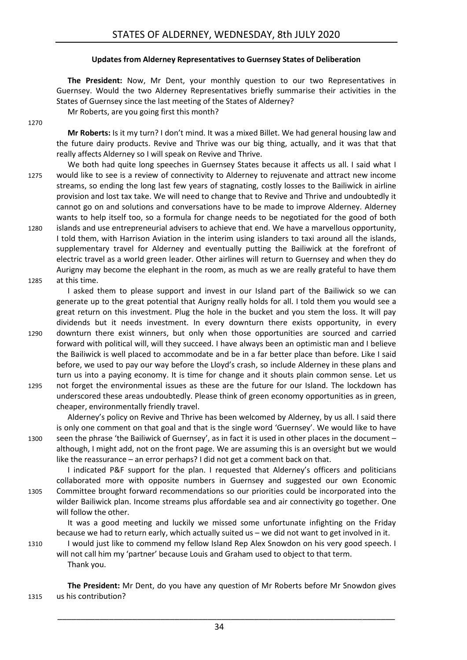### **Updates from Alderney Representatives to Guernsey States of Deliberation**

<span id="page-33-0"></span>**The President:** Now, Mr Dent, your monthly question to our two Representatives in Guernsey. Would the two Alderney Representatives briefly summarise their activities in the States of Guernsey since the last meeting of the States of Alderney?

Mr Roberts, are you going first this month?

1270

**Mr Roberts:** Is it my turn? I don't mind. It was a mixed Billet. We had general housing law and the future dairy products. Revive and Thrive was our big thing, actually, and it was that that really affects Alderney so I will speak on Revive and Thrive.

We both had quite long speeches in Guernsey States because it affects us all. I said what I 1275 would like to see is a review of connectivity to Alderney to rejuvenate and attract new income streams, so ending the long last few years of stagnating, costly losses to the Bailiwick in airline provision and lost tax take. We will need to change that to Revive and Thrive and undoubtedly it cannot go on and solutions and conversations have to be made to improve Alderney. Alderney wants to help itself too, so a formula for change needs to be negotiated for the good of both

1280 islands and use entrepreneurial advisers to achieve that end. We have a marvellous opportunity, I told them, with Harrison Aviation in the interim using islanders to taxi around all the islands, supplementary travel for Alderney and eventually putting the Bailiwick at the forefront of electric travel as a world green leader. Other airlines will return to Guernsey and when they do Aurigny may become the elephant in the room, as much as we are really grateful to have them 1285 at this time.

I asked them to please support and invest in our Island part of the Bailiwick so we can generate up to the great potential that Aurigny really holds for all. I told them you would see a great return on this investment. Plug the hole in the bucket and you stem the loss. It will pay dividends but it needs investment. In every downturn there exists opportunity, in every 1290 downturn there exist winners, but only when those opportunities are sourced and carried forward with political will, will they succeed. I have always been an optimistic man and I believe the Bailiwick is well placed to accommodate and be in a far better place than before. Like I said before, we used to pay our way before the Lloyd's crash, so include Alderney in these plans and

turn us into a paying economy. It is time for change and it shouts plain common sense. Let us 1295 not forget the environmental issues as these are the future for our Island. The lockdown has underscored these areas undoubtedly. Please think of green economy opportunities as in green, cheaper, environmentally friendly travel.

Alderney's policy on Revive and Thrive has been welcomed by Alderney, by us all. I said there is only one comment on that goal and that is the single word 'Guernsey'. We would like to have 1300 seen the phrase 'the Bailiwick of Guernsey', as in fact it is used in other places in the document – although, I might add, not on the front page. We are assuming this is an oversight but we would like the reassurance – an error perhaps? I did not get a comment back on that.

I indicated P&F support for the plan. I requested that Alderney's officers and politicians collaborated more with opposite numbers in Guernsey and suggested our own Economic 1305 Committee brought forward recommendations so our priorities could be incorporated into the wilder Bailiwick plan. Income streams plus affordable sea and air connectivity go together. One will follow the other.

It was a good meeting and luckily we missed some unfortunate infighting on the Friday because we had to return early, which actually suited us – we did not want to get involved in it.

1310 I would just like to commend my fellow Island Rep Alex Snowdon on his very good speech. I will not call him my 'partner' because Louis and Graham used to object to that term. Thank you.

**The President:** Mr Dent, do you have any question of Mr Roberts before Mr Snowdon gives 1315 us his contribution?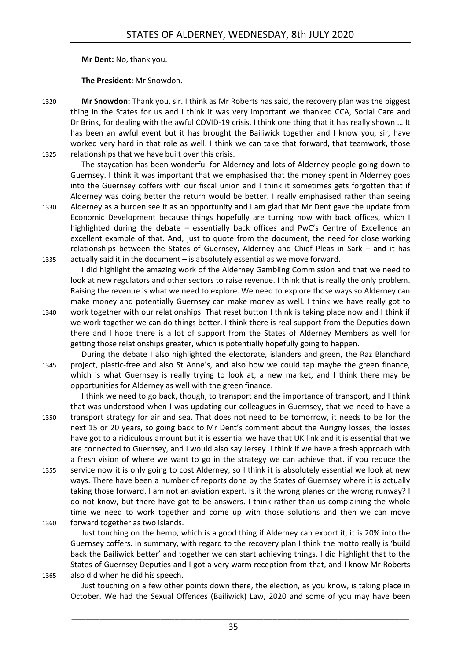**Mr Dent:** No, thank you.

**The President:** Mr Snowdon.

1320 **Mr Snowdon:** Thank you, sir. I think as Mr Roberts has said, the recovery plan was the biggest thing in the States for us and I think it was very important we thanked CCA, Social Care and Dr Brink, for dealing with the awful COVID-19 crisis. I think one thing that it has really shown … It has been an awful event but it has brought the Bailiwick together and I know you, sir, have worked very hard in that role as well. I think we can take that forward, that teamwork, those 1325 relationships that we have built over this crisis.

The staycation has been wonderful for Alderney and lots of Alderney people going down to Guernsey. I think it was important that we emphasised that the money spent in Alderney goes into the Guernsey coffers with our fiscal union and I think it sometimes gets forgotten that if Alderney was doing better the return would be better. I really emphasised rather than seeing

- 1330 Alderney as a burden see it as an opportunity and I am glad that Mr Dent gave the update from Economic Development because things hopefully are turning now with back offices, which I highlighted during the debate – essentially back offices and PwC's Centre of Excellence an excellent example of that. And, just to quote from the document, the need for close working relationships between the States of Guernsey, Alderney and Chief Pleas in Sark – and it has 1335 actually said it in the document – is absolutely essential as we move forward.
	- I did highlight the amazing work of the Alderney Gambling Commission and that we need to look at new regulators and other sectors to raise revenue. I think that is really the only problem. Raising the revenue is what we need to explore. We need to explore those ways so Alderney can make money and potentially Guernsey can make money as well. I think we have really got to
- 1340 work together with our relationships. That reset button I think is taking place now and I think if we work together we can do things better. I think there is real support from the Deputies down there and I hope there is a lot of support from the States of Alderney Members as well for getting those relationships greater, which is potentially hopefully going to happen.
- During the debate I also highlighted the electorate, islanders and green, the Raz Blanchard 1345 project, plastic-free and also St Anne's, and also how we could tap maybe the green finance, which is what Guernsey is really trying to look at, a new market, and I think there may be opportunities for Alderney as well with the green finance.

I think we need to go back, though, to transport and the importance of transport, and I think that was understood when I was updating our colleagues in Guernsey, that we need to have a 1350 transport strategy for air and sea. That does not need to be tomorrow, it needs to be for the next 15 or 20 years, so going back to Mr Dent's comment about the Aurigny losses, the losses have got to a ridiculous amount but it is essential we have that UK link and it is essential that we are connected to Guernsey, and I would also say Jersey. I think if we have a fresh approach with a fresh vision of where we want to go in the strategy we can achieve that. if you reduce the 1355 service now it is only going to cost Alderney, so I think it is absolutely essential we look at new ways. There have been a number of reports done by the States of Guernsey where it is actually taking those forward. I am not an aviation expert. Is it the wrong planes or the wrong runway? I do not know, but there have got to be answers. I think rather than us complaining the whole time we need to work together and come up with those solutions and then we can move 1360 forward together as two islands.

Just touching on the hemp, which is a good thing if Alderney can export it, it is 20% into the Guernsey coffers. In summary, with regard to the recovery plan I think the motto really is 'build back the Bailiwick better' and together we can start achieving things. I did highlight that to the States of Guernsey Deputies and I got a very warm reception from that, and I know Mr Roberts 1365 also did when he did his speech.

Just touching on a few other points down there, the election, as you know, is taking place in October. We had the Sexual Offences (Bailiwick) Law, 2020 and some of you may have been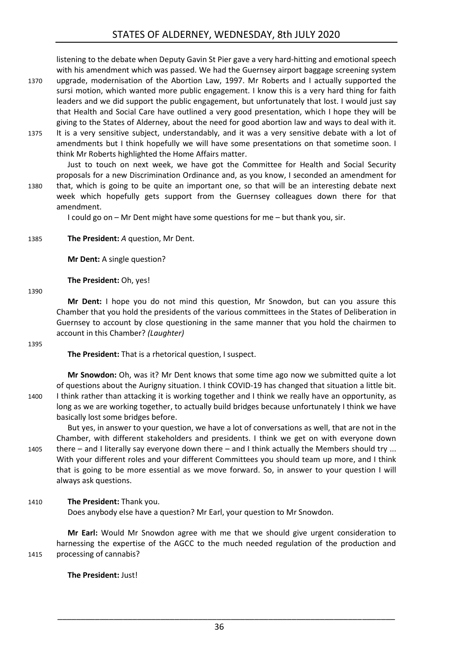listening to the debate when Deputy Gavin St Pier gave a very hard-hitting and emotional speech with his amendment which was passed. We had the Guernsey airport baggage screening system

- 1370 upgrade, modernisation of the Abortion Law, 1997. Mr Roberts and I actually supported the sursi motion, which wanted more public engagement. I know this is a very hard thing for faith leaders and we did support the public engagement, but unfortunately that lost. I would just say that Health and Social Care have outlined a very good presentation, which I hope they will be giving to the States of Alderney, about the need for good abortion law and ways to deal with it.
- 1375 It is a very sensitive subject, understandably, and it was a very sensitive debate with a lot of amendments but I think hopefully we will have some presentations on that sometime soon. I think Mr Roberts highlighted the Home Affairs matter.

Just to touch on next week, we have got the Committee for Health and Social Security proposals for a new Discrimination Ordinance and, as you know, I seconded an amendment for 1380 that, which is going to be quite an important one, so that will be an interesting debate next week which hopefully gets support from the Guernsey colleagues down there for that amendment.

I could go on – Mr Dent might have some questions for me – but thank you, sir.

1385 **The President:** *A* question, Mr Dent.

**Mr Dent:** A single question?

**The President:** Oh, yes!

1390

**Mr Dent:** I hope you do not mind this question, Mr Snowdon, but can you assure this Chamber that you hold the presidents of the various committees in the States of Deliberation in Guernsey to account by close questioning in the same manner that you hold the chairmen to account in this Chamber? *(Laughter)*

1395

**The President:** That is a rhetorical question, I suspect.

**Mr Snowdon:** Oh, was it? Mr Dent knows that some time ago now we submitted quite a lot of questions about the Aurigny situation. I think COVID-19 has changed that situation a little bit. 1400 I think rather than attacking it is working together and I think we really have an opportunity, as long as we are working together, to actually build bridges because unfortunately I think we have basically lost some bridges before.

But yes, in answer to your question, we have a lot of conversations as well, that are not in the Chamber, with different stakeholders and presidents. I think we get on with everyone down 1405 there – and I literally say everyone down there – and I think actually the Members should try ... With your different roles and your different Committees you should team up more, and I think that is going to be more essential as we move forward. So, in answer to your question I will always ask questions.

### 1410 **The President:** Thank you.

Does anybody else have a question? Mr Earl, your question to Mr Snowdon.

**Mr Earl:** Would Mr Snowdon agree with me that we should give urgent consideration to harnessing the expertise of the AGCC to the much needed regulation of the production and 1415 processing of cannabis?

**The President:** Just!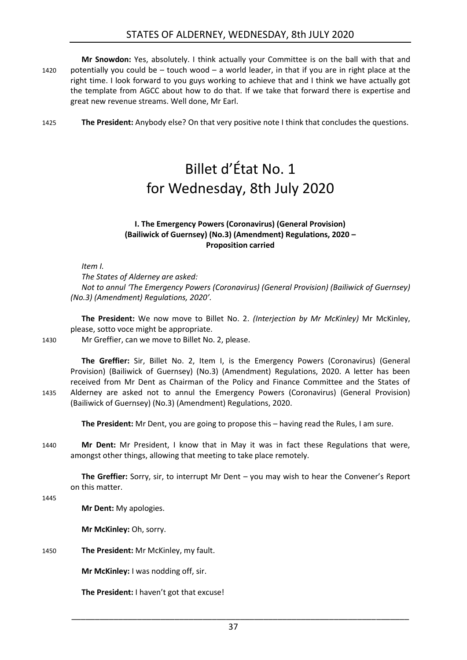### STATES OF ALDERNEY, WEDNESDAY, 8th JULY 2020

**Mr Snowdon:** Yes, absolutely. I think actually your Committee is on the ball with that and 1420 potentially you could be – touch wood – a world leader, in that if you are in right place at the right time. I look forward to you guys working to achieve that and I think we have actually got the template from AGCC about how to do that. If we take that forward there is expertise and great new revenue streams. Well done, Mr Earl.

<span id="page-36-0"></span>1425 **The President:** Anybody else? On that very positive note I think that concludes the questions.

## Billet d'État No. 1 for Wednesday, 8th July 2020

### **I. The Emergency Powers (Coronavirus) (General Provision) (Bailiwick of Guernsey) (No.3) (Amendment) Regulations, 2020 – Proposition carried**

<span id="page-36-1"></span>*Item I.*

*The States of Alderney are asked: Not to annul 'The Emergency Powers (Coronavirus) (General Provision) (Bailiwick of Guernsey) (No.3) (Amendment) Regulations, 2020'.*

**The President:** We now move to Billet No. 2. *(Interjection by Mr McKinley)* Mr McKinley, please, sotto voce might be appropriate.

1430 Mr Greffier, can we move to Billet No. 2, please.

**The Greffier:** Sir, Billet No. 2, Item I, is the Emergency Powers (Coronavirus) (General Provision) (Bailiwick of Guernsey) (No.3) (Amendment) Regulations, 2020. A letter has been received from Mr Dent as Chairman of the Policy and Finance Committee and the States of 1435 Alderney are asked not to annul the Emergency Powers (Coronavirus) (General Provision) (Bailiwick of Guernsey) (No.3) (Amendment) Regulations, 2020.

**The President:** Mr Dent, you are going to propose this – having read the Rules, I am sure.

1440 **Mr Dent:** Mr President, I know that in May it was in fact these Regulations that were, amongst other things, allowing that meeting to take place remotely.

**The Greffier:** Sorry, sir, to interrupt Mr Dent – you may wish to hear the Convener's Report on this matter.

1445

**Mr Dent:** My apologies.

**Mr McKinley:** Oh, sorry.

1450 **The President:** Mr McKinley, my fault.

**Mr McKinley:** I was nodding off, sir.

**The President:** I haven't got that excuse!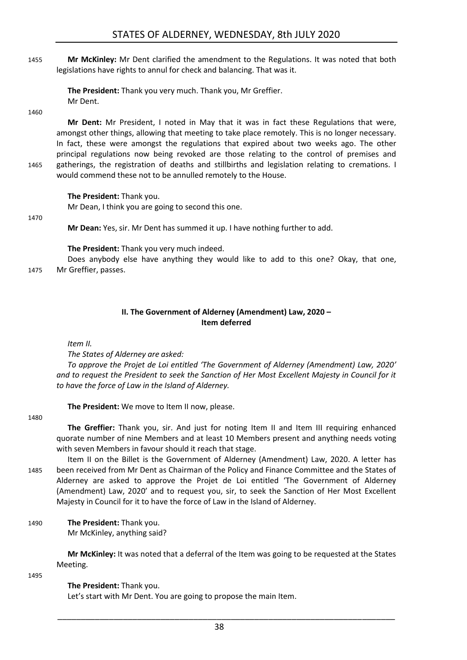1455 **Mr McKinley:** Mr Dent clarified the amendment to the Regulations. It was noted that both legislations have rights to annul for check and balancing. That was it.

> **The President:** Thank you very much. Thank you, Mr Greffier. Mr Dent.

### 1460

**Mr Dent:** Mr President, I noted in May that it was in fact these Regulations that were, amongst other things, allowing that meeting to take place remotely. This is no longer necessary. In fact, these were amongst the regulations that expired about two weeks ago. The other principal regulations now being revoked are those relating to the control of premises and 1465 gatherings, the registration of deaths and stillbirths and legislation relating to cremations. I would commend these not to be annulled remotely to the House.

**The President:** Thank you.

Mr Dean, I think you are going to second this one.

1470

**Mr Dean:** Yes, sir. Mr Dent has summed it up. I have nothing further to add.

### **The President:** Thank you very much indeed.

Does anybody else have anything they would like to add to this one? Okay, that one, 1475 Mr Greffier, passes.

### **II. The Government of Alderney (Amendment) Law, 2020 – Item deferred**

<span id="page-37-0"></span>*Item II.*

*The States of Alderney are asked:*

*To approve the Projet de Loi entitled 'The Government of Alderney (Amendment) Law, 2020' and to request the President to seek the Sanction of Her Most Excellent Majesty in Council for it to have the force of Law in the Island of Alderney.*

**The President:** We move to Item II now, please.

1480

**The Greffier:** Thank you, sir. And just for noting Item II and Item III requiring enhanced quorate number of nine Members and at least 10 Members present and anything needs voting with seven Members in favour should it reach that stage.

Item II on the Billet is the Government of Alderney (Amendment) Law, 2020. A letter has 1485 been received from Mr Dent as Chairman of the Policy and Finance Committee and the States of Alderney are asked to approve the Projet de Loi entitled 'The Government of Alderney (Amendment) Law, 2020' and to request you, sir, to seek the Sanction of Her Most Excellent Majesty in Council for it to have the force of Law in the Island of Alderney.

1490 **The President:** Thank you. Mr McKinley, anything said?

> **Mr McKinley:** It was noted that a deferral of the Item was going to be requested at the States Meeting.

1495

### **The President:** Thank you.

Let's start with Mr Dent. You are going to propose the main Item.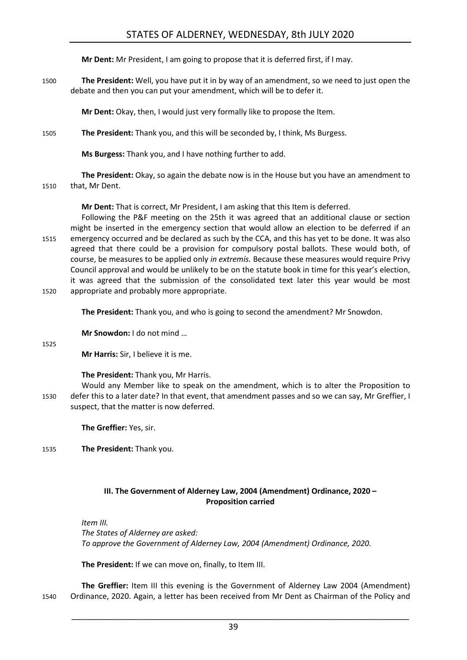### STATES OF ALDERNEY, WEDNESDAY, 8th JULY 2020

**Mr Dent:** Mr President, I am going to propose that it is deferred first, if I may.

1500 **The President:** Well, you have put it in by way of an amendment, so we need to just open the debate and then you can put your amendment, which will be to defer it.

**Mr Dent:** Okay, then, I would just very formally like to propose the Item.

1505 **The President:** Thank you, and this will be seconded by, I think, Ms Burgess.

**Ms Burgess:** Thank you, and I have nothing further to add.

**The President:** Okay, so again the debate now is in the House but you have an amendment to 1510 that, Mr Dent.

**Mr Dent:** That is correct, Mr President, I am asking that this Item is deferred.

Following the P&F meeting on the 25th it was agreed that an additional clause or section might be inserted in the emergency section that would allow an election to be deferred if an 1515 emergency occurred and be declared as such by the CCA, and this has yet to be done. It was also agreed that there could be a provision for compulsory postal ballots. These would both, of course, be measures to be applied only *in extremis.* Because these measures would require Privy Council approval and would be unlikely to be on the statute book in time for this year's election, it was agreed that the submission of the consolidated text later this year would be most 1520 appropriate and probably more appropriate.

**The President:** Thank you, and who is going to second the amendment? Mr Snowdon.

**Mr Snowdon:** I do not mind …

1525

**Mr Harris:** Sir, I believe it is me.

### **The President:** Thank you, Mr Harris.

Would any Member like to speak on the amendment, which is to alter the Proposition to 1530 defer this to a later date? In that event, that amendment passes and so we can say, Mr Greffier, I suspect, that the matter is now deferred.

**The Greffier:** Yes, sir.

### 1535 **The President:** Thank you.

### **III. The Government of Alderney Law, 2004 (Amendment) Ordinance, 2020 – Proposition carried**

<span id="page-38-0"></span>*Item III.*

*The States of Alderney are asked: To approve the Government of Alderney Law, 2004 (Amendment) Ordinance, 2020.*

**The President:** If we can move on, finally, to Item III.

**The Greffier:** Item III this evening is the Government of Alderney Law 2004 (Amendment) 1540 Ordinance, 2020. Again, a letter has been received from Mr Dent as Chairman of the Policy and